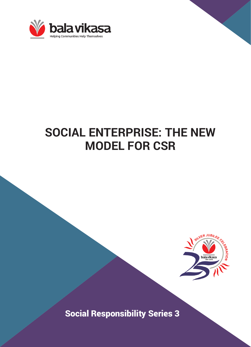

# **SOCIAL ENTERPRISE: THE NEW MODEL FOR CSR**



Social Responsibility Series 3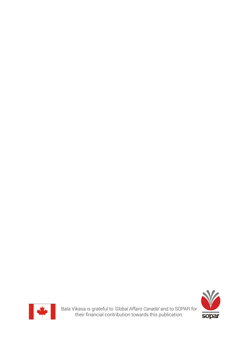

Bala Vikasa is grateful to *'Global Affairs Canada'* and to SOPAR for their financial contribution towards this publication.

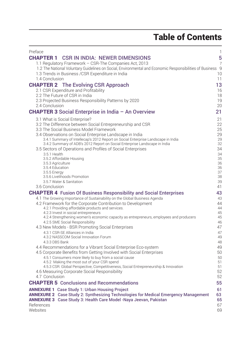# Table of Contents

| Preface                                                                                                                                       | $\mathbf{1}$   |
|-----------------------------------------------------------------------------------------------------------------------------------------------|----------------|
| <b>CHAPTER 1</b><br><b>CSR IN INDIA: NEWER DIMENSIONS</b>                                                                                     | 5              |
| 1.1 Regulatory Framework - CSR-The Companies Act, 2013                                                                                        | $\overline{7}$ |
| 1.2 The National Voluntary Guidelines on Social, Environmental and Economic Responsibilities of Business 9                                    |                |
| 1.3 Trends in Business / CSR Expenditure in India                                                                                             | 10             |
| 1.4 Conclusion                                                                                                                                | 11             |
| <b>CHAPTER 2</b> The Evolving CSR Approach                                                                                                    | 13             |
| 2.1 CSR Expenditure and Profitability                                                                                                         | 16             |
| 2.2 The Future of CSR in India                                                                                                                | 18             |
| 2.3 Projected Business Responsibility Patterns by 2020<br>2.4 Conclusion                                                                      | 19<br>20       |
|                                                                                                                                               |                |
| <b>CHAPTER 3</b> Social Enterprise in India $-$ An Overview                                                                                   | 21             |
| 3.1 What is Social Enterprise?                                                                                                                | 21             |
| 3.2 The Difference between Social Entrepreneurship and CSR                                                                                    | 22             |
| 3.3 The Social Business Model Framework                                                                                                       | 25             |
| 3.4 Observations on Social Enterprise Landscape in India<br>3.4.1 Summary of Intellecap's 2012 Report on Social Enterprise Landscape in India | 29<br>29       |
| 3.4.2 Summary of ADB's 2012 Report on Social Enterprise Landscape in India                                                                    | 32             |
| 3.5 Sectors of Operations and Profiles of Social Enterprises                                                                                  | 34             |
| 3.5.1 Health                                                                                                                                  | 34             |
| 3.5.2 Affordable Housing                                                                                                                      | 35             |
| 3.5.3 Agriculture<br>3.5.4 Education                                                                                                          | 36<br>36       |
| 3.5.5 Energy                                                                                                                                  | 37             |
| 3.5.6 Livelihoods Promotion                                                                                                                   | 38             |
| 3.5.7 Water & Sanitation                                                                                                                      | 39             |
| 3.6 Conclusion                                                                                                                                | 41             |
| <b>CHAPTER 4</b> Fusion Of Business Responsibility and Social Enterprises                                                                     | 43             |
| 4.1 The Growing Importance of Sustainability on the Global Business Agenda                                                                    | 43             |
| 4.2 Framework for the Corporate Contribution to Development                                                                                   | 44<br>44       |
| 4.2.1 Providing affordable products and services.<br>4.2.3 Invest in social entrepreneurs                                                     | 45             |
| 4.2.4 Strengthening women's economic capacity as entrepreneurs, employees and producers                                                       | 45             |
| 4.2.5 SME Social Responsibility                                                                                                               | 46             |
| 4.3 New Models - BSR Promoting Social Enterprises                                                                                             | 47             |
| 4.3.1 CSR-SE Alliances in India                                                                                                               | 47             |
| 4.3.2 NASSCOM Social Innovation Forum                                                                                                         | 49             |
| 4.3.3 DBS Bank<br>4.4 Recommendations for a Vibrant Social Enterprise Eco-system                                                              | 48<br>49       |
| 4.5 Corporate Benefits from Getting Involved with Social Enterprises                                                                          | 50             |
| 4.5.1 Consumers more likely to buy from a social cause                                                                                        | 50             |
| 4.5.2 Making the most out of your CSR spend                                                                                                   | 51             |
| 4.5.3 CSR: Global Perspective, Competitiveness, Social Entrepreneurship & Innovation                                                          | 51             |
| 4.6 Measuring Corporate Social Responsibility                                                                                                 | 52             |
| 4.7 Conclusion                                                                                                                                | 52             |
| <b>CHAPTER 5</b> Conclusions and Recommendations                                                                                              | 55             |
| <b>ANNEXURE 1</b> Case Study 1: Urban Housing Project                                                                                         | 61             |
| ANNEXURE 2 Case Study 2: Synthesizing Technologies for Medical Emergency Management                                                           | 63             |
| ANNEXURE 3 Case Study 3: Health Care Model -Naya Jeevan, Pakistan                                                                             | 65             |
| References                                                                                                                                    | 67             |
| Websites                                                                                                                                      | 69             |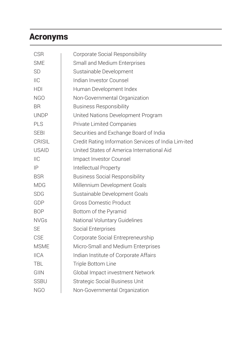# Acronyms

| <b>CSR</b>    | Corporate Social Responsibility                      |
|---------------|------------------------------------------------------|
| <b>SME</b>    | Small and Medium Enterprises                         |
| <b>SD</b>     | Sustainable Development                              |
| IIC           | Indian Investor Counsel                              |
| <b>HDI</b>    | Human Development Index                              |
| <b>NGO</b>    | Non-Governmental Organization                        |
| <b>BR</b>     | <b>Business Responsibility</b>                       |
| <b>UNDP</b>   | United Nations Development Program                   |
| PLS           | Private Limited Companies                            |
| <b>SEBI</b>   | Securities and Exchange Board of India               |
| <b>CRISIL</b> | Credit Rating Information Services of India Lim-ited |
| <b>USAID</b>  | United States of America International Aid           |
| $II$ C        | Impact Investor Counsel                              |
| IP            | Intellectual Property                                |
| <b>BSR</b>    | <b>Business Social Responsibility</b>                |
| <b>MDG</b>    | Millennium Development Goals                         |
| <b>SDG</b>    | Sustainable Development Goals                        |
| GDP           | <b>Gross Domestic Product</b>                        |
| <b>BOP</b>    | Bottom of the Pyramid                                |
| <b>NVGs</b>   | National Voluntary Guidelines                        |
| <b>SE</b>     | Social Enterprises                                   |
| <b>CSE</b>    | Corporate Social Entrepreneurship                    |
| <b>MSME</b>   | Micro-Small and Medium Enterprises                   |
| <b>IICA</b>   | Indian Institute of Corporate Affairs                |
| TBL           | Triple Bottom Line                                   |
| <b>GIIN</b>   | Global Impact investment Network                     |
| <b>SSBU</b>   | <b>Strategic Social Business Unit</b>                |
| <b>NGO</b>    | Non-Governmental Organization                        |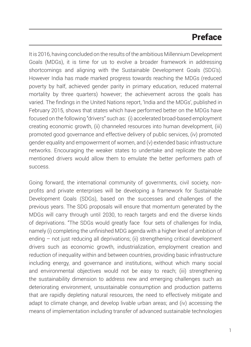# Preface

It is 2016, having concluded on the results of the ambitious Millennium Development Goals (MDGs), it is time for us to evolve a broader framework in addressing shortcomings and aligning with the Sustainable Development Goals (SDG's). However India has made marked progress towards reaching the MDGs (reduced poverty by half, achieved gender parity in primary education, reduced maternal mortality by three quarters) however; the achievement across the goals has varied. The findings in the United Nations report, 'India and the MDGs', published in February 2015, shows that states which have performed better on the MDGs have focused on the following "drivers" such as: (i) accelerated broad-based employment creating economic growth, (ii) channeled resources into human development, (iii) promoted good governance and effective delivery of public services, (iv) promoted gender equality and empowerment of women, and (v) extended basic infrastructure networks. Encouraging the weaker states to undertake and replicate the above mentioned drivers would allow them to emulate the better performers path of success.

Going forward, the international community of governments, civil society, nonprofits and private enterprises will be developing a framework for Sustainable Development Goals (SDGs), based on the successes and challenges of the previous years. The SDG proposals will ensure that momentum generated by the MDGs will carry through until 2030, to reach targets and end the diverse kinds of deprivations. "The SDGs would greatly face four sets of challenges for India, namely (i) completing the unfinished MDG agenda with a higher level of ambition of ending – not just reducing all deprivations; (ii) strengthening critical development drivers such as economic growth, industrialization, employment creation and reduction of inequality within and between countries, providing basic infrastructure including energy, and governance and institutions, without which many social and environmental objectives would not be easy to reach; (iii) strengthening the sustainability dimension to address new and emerging challenges such as deteriorating environment, unsustainable consumption and production patterns that are rapidly depleting natural resources, the need to effectively mitigate and adapt to climate change, and develop livable urban areas; and (iv) accessing the means of implementation including transfer of advanced sustainable technologies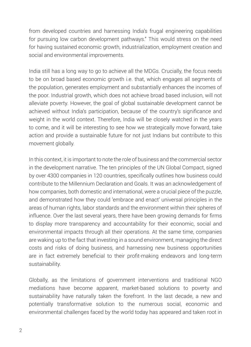from developed countries and harnessing India's frugal engineering capabilities for pursuing low carbon development pathways." This would stress on the need for having sustained economic growth, industrialization, employment creation and social and environmental improvements.

India still has a long way to go to achieve all the MDGs. Crucially, the focus needs to be on broad based economic growth i.e. that, which engages all segments of the population, generates employment and substantially enhances the incomes of the poor. Industrial growth, which does not achieve broad based inclusion, will not alleviate poverty. However, the goal of global sustainable development cannot be achieved without India's participation, because of the country's significance and weight in the world context. Therefore, India will be closely watched in the years to come, and it will be interesting to see how we strategically move forward, take action and provide a sustainable future for not just Indians but contribute to this movement globally.

In this context, it is important to note the role of business and the commercial sector in the development narrative. The ten principles of the UN Global Compact, signed by over 4300 companies in 120 countries, specifically outlines how business could contribute to the Millennium Declaration and Goals. It was an acknowledgement of how companies, both domestic and international, were a crucial piece of the puzzle, and demonstrated how they could 'embrace and enact' universal principles in the areas of human rights, labor standards and the environment within their spheres of influence. Over the last several years, there have been growing demands for firms to display more transparency and accountability for their economic, social and environmental impacts through all their operations. At the same time, companies are waking up to the fact that investing in a sound environment, managing the direct costs and risks of doing business, and harnessing new business opportunities are in fact extremely beneficial to their profit-making endeavors and long-term sustainability.

Globally, as the limitations of government interventions and traditional NGO mediations have become apparent, market-based solutions to poverty and sustainability have naturally taken the forefront. In the last decade, a new and potentially transformative solution to the numerous social, economic and environmental challenges faced by the world today has appeared and taken root in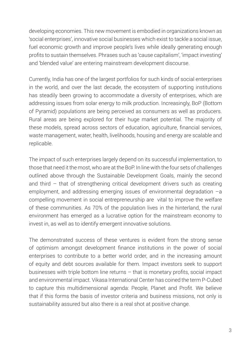developing economies. This new movement is embodied in organizations known as 'social enterprises', innovative social businesses which exist to tackle a social issue, fuel economic growth and improve people's lives while ideally generating enough profits to sustain themselves. Phrases such as 'cause capitalism', 'impact investing' and 'blended value' are entering mainstream development discourse.

Currently, India has one of the largest portfolios for such kinds of social enterprises in the world, and over the last decade, the ecosystem of supporting institutions has steadily been growing to accommodate a diversity of enterprises, which are addressing issues from solar energy to milk production. Increasingly, BoP (Bottom of Pyramid) populations are being perceived as consumers as well as producers. Rural areas are being explored for their huge market potential. The majority of these models, spread across sectors of education, agriculture, financial services, waste management, water, health, livelihoods, housing and energy are scalable and replicable.

The impact of such enterprises largely depend on its successful implementation, to those that need it the most, who are at the BoP. In line with the four sets of challenges outlined above through the Sustainable Development Goals, mainly the second and third – that of strengthening critical development drivers such as creating employment, and addressing emerging issues of environmental degradation –a compelling movement in social entrepreneurship are vital to improve the welfare of these communities. As 70% of the population lives in the hinterland, the rural environment has emerged as a lucrative option for the mainstream economy to invest in, as well as to identify emergent innovative solutions.

The demonstrated success of these ventures is evident from the strong sense of optimism amongst development finance institutions in the power of social enterprises to contribute to a better world order, and in the increasing amount of equity and debt sources available for them. Impact investors seek to support businesses with triple bottom line returns – that is monetary profits, social impact and environmental impact. Vikasa International Center has coined the term P-Cubed to capture this multidimensional agenda: People, Planet and Profit. We believe that if this forms the basis of investor criteria and business missions, not only is sustainability assured but also there is a real shot at positive change.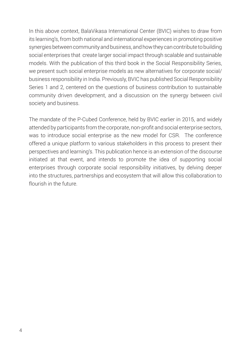In this above context, BalaVikasa International Center (BVIC) wishes to draw from its learning's, from both national and international experiences in promoting positive synergies between community and business, and how they can contribute to building social enterprises that create larger social impact through scalable and sustainable models. With the publication of this third book in the Social Responsibility Series, we present such social enterprise models as new alternatives for corporate social/ business responsibility in India. Previously, BVIC has published Social Responsibility Series 1 and 2, centered on the questions of business contribution to sustainable community driven development, and a discussion on the synergy between civil society and business.

The mandate of the P-Cubed Conference, held by BVIC earlier in 2015, and widely attended by participants from the corporate, non-profit and social enterprise sectors, was to introduce social enterprise as the new model for CSR. The conference offered a unique platform to various stakeholders in this process to present their perspectives and learning's. This publication hence is an extension of the discourse initiated at that event, and intends to promote the idea of supporting social enterprises through corporate social responsibility initiatives, by delving deeper into the structures, partnerships and ecosystem that will allow this collaboration to flourish in the future.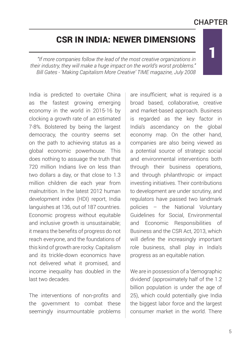# **CHAPTER**

1

# CSR IN INDIA: NEWER DIMENSIONS

*"If more companies follow the lead of the most creative organizations in their industry, they will make a huge impact on the world's worst problems." Bill Gates - 'Making Capitalism More Creative' TIME magazine, July 2008*

India is predicted to overtake China as the fastest growing emerging economy in the world in 2015-16 by clocking a growth rate of an estimated 7-8%. Bolstered by being the largest democracy, the country seems set on the path to achieving status as a global economic powerhouse. This does nothing to assuage the truth that 720 million Indians live on less than two dollars a day, or that close to 1.3 million children die each year from malnutrition. In the latest 2012 human development index (HDI) report, India languishes at 136, out of 187 countries. Economic progress without equitable and inclusive growth is unsustainable; it means the benefits of progress do not reach everyone, and the foundations of this kind of growth are rocky. Capitalism and its trickle-down economics have not delivered what it promised, and income inequality has doubled in the last two decades.

The interventions of non-profits and the government to combat these seemingly insurmountable problems are insufficient; what is required is a broad based, collaborative, creative and market-based approach. Business is regarded as the key factor in India's ascendancy on the global economy map. On the other hand, companies are also being viewed as a potential source of strategic social and environmental interventions both through their business operations, and through philanthropic or impact investing initiatives. Their contributions to development are under scrutiny, and regulators have passed two landmark policies – the National Voluntary Guidelines for Social, Environmental and Economic Responsibilities of Business and the CSR Act, 2013, which will define the increasingly important role business, shall play in India's progress as an equitable nation.

We are in possession of a 'demographic dividend' (approximately half of the 1.2 billion population is under the age of 25), which could potentially give India the biggest labor force and the largest consumer market in the world. There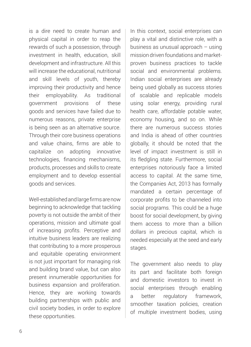is a dire need to create human and physical capital in order to reap the rewards of such a possession, through investment in health, education, skill development and infrastructure. All this will increase the educational, nutritional and skill levels of youth, thereby improving their productivity and hence their employability. As traditional government provisions of these goods and services have failed due to numerous reasons, private enterprise is being seen as an alternative source. Through their core business operations and value chains, firms are able to capitalize on adopting innovative technologies, financing mechanisms, products, processes and skills to create employment and to develop essential goods and services.

Well-established and large firms are now beginning to acknowledge that tackling poverty is not outside the ambit of their operations, mission and ultimate goal of increasing profits. Perceptive and intuitive business leaders are realizing that contributing to a more prosperous and equitable operating environment is not just important for managing risk and building brand value, but can also present innumerable opportunities for business expansion and proliferation. Hence, they are working towards building partnerships with public and civil society bodies, in order to explore these opportunities.

In this context, social enterprises can play a vital and distinctive role, with a business as unusual approach – using mission driven foundations and marketproven business practices to tackle social and environmental problems. Indian social enterprises are already being used globally as success stories of scalable and replicable models using solar energy, providing rural health care, affordable potable water, economy housing, and so on. While there are numerous success stories and India is ahead of other countries globally, it should be noted that the level of impact investment is still in its fledgling state. Furthermore, social enterprises notoriously face a limited access to capital. At the same time, the Companies Act, 2013 has formally mandated a certain percentage of corporate profits to be channeled into social programs. This could be a huge boost for social development, by giving them access to more than a billion dollars in precious capital, which is needed especially at the seed and early stages.

The government also needs to play its part and facilitate both foreign and domestic investors to invest in social enterprises through enabling a better regulatory framework, smoother taxation policies, creation of multiple investment bodies, using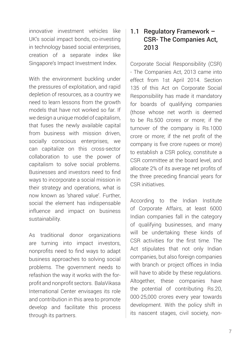innovative investment vehicles like UK's social impact bonds, co-investing in technology based social enterprises, creation of a separate index like Singapore's Impact Investment Index.

With the environment buckling under the pressures of exploitation, and rapid depletion of resources, as a country we need to learn lessons from the growth models that have not worked so far. If we design a unique model of capitalism, that fuses the newly available capital from business with mission driven, socially conscious enterprises, we can capitalize on this cross-sector collaboration to use the power of capitalism to solve social problems. Businesses and investors need to find ways to incorporate a social mission in their strategy and operations, what is now known as 'shared value'. Further, social the element has indispensable influence and impact on business sustainability.

As traditional donor organizations are turning into impact investors, nonprofits need to find ways to adapt business approaches to solving social problems. The government needs to refashion the way it works with the forprofit and nonprofit sectors. BalaVikasa International Center envisages its role and contribution in this area to promote develop and facilitate this process through its partners.

### 1.1 Regulatory Framework – CSR- The Companies Act, 2013

Corporate Social Responsibility (CSR) - The Companies Act, 2013 came into effect from 1st April 2014. Section 135 of this Act on Corporate Social Responsibility has made it mandatory for boards of qualifying companies (those whose net worth is deemed to be Rs.500 crores or more; if the turnover of the company is Rs.1000 crore or more; if the net profit of the company is five crore rupees or more) to establish a CSR policy, constitute a CSR committee at the board level, and allocate 2% of its average net profits of the three preceding financial years for CSR initiatives.

According to the Indian Institute of Corporate Affairs, at least 6000 Indian companies fall in the category of qualifying businesses, and many will be undertaking these kinds of CSR activities for the first time. The Act stipulates that not only Indian companies, but also foreign companies with branch or project offices in India will have to abide by these regulations. Altogether, these companies have the potential of contributing Rs.20, 000-25,000 crores every year towards development. With the policy shift in its nascent stages, civil society, non-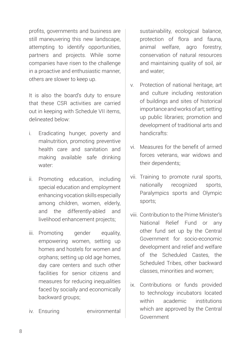profits, governments and business are still maneuvering this new landscape, attempting to identify opportunities, partners and projects. While some companies have risen to the challenge in a proactive and enthusiastic manner, others are slower to keep up.

It is also the board's duty to ensure that these CSR activities are carried out in keeping with Schedule VII items, delineated below:

- i. Eradicating hunger, poverty and malnutrition, promoting preventive health care and sanitation and making available safe drinking water:
- ii. Promoting education, including special education and employment enhancing vocation skills especially among children, women, elderly, and the differently-abled and livelihood enhancement projects;
- iii. Promoting gender equality, empowering women, setting up homes and hostels for women and orphans; setting up old age homes, day care centers and such other facilities for senior citizens and measures for reducing inequalities faced by socially and economically backward groups;
- iv. Ensuring environmental

sustainability, ecological balance, protection of flora and fauna, animal welfare, agro forestry, conservation of natural resources and maintaining quality of soil, air and water;

- v. Protection of national heritage, art and culture including restoration of buildings and sites of historical importance and works of art; setting up public libraries; promotion and development of traditional arts and handicrafts:
- vi. Measures for the benefit of armed forces veterans, war widows and their dependents;
- vii. Training to promote rural sports, nationally recognized sports, Paralympics sports and Olympic sports;
- viii. Contribution to the Prime Minister's National Relief Fund or any other fund set up by the Central Government for socio-economic development and relief and welfare of the Scheduled Castes, the Scheduled Tribes, other backward classes, minorities and women;
- ix. Contributions or funds provided to technology incubators located within academic institutions which are approved by the Central Government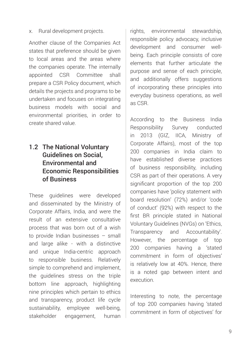x. Rural development projects.

Another clause of the Companies Act states that preference should be given to local areas and the areas where the companies operate. The internally appointed CSR Committee shall prepare a CSR Policy document, which details the projects and programs to be undertaken and focuses on integrating business models with social and environmental priorities, in order to create shared value.

## 1.2 The National Voluntary Guidelines on Social, Environmental and Economic Responsibilities of Business

These guidelines were developed and disseminated by the Ministry of Corporate Affairs, India, and were the result of an extensive consultative process that was born out of a wish to provide Indian businesses – small and large alike - with a distinctive and unique India-centric approach to responsible business. Relatively simple to comprehend and implement, the guidelines stress on the triple bottom line approach, highlighting nine principles which pertain to ethics and transparency, product life cycle sustainability, employee well-being, stakeholder engagement, human

rights, environmental stewardship, responsible policy advocacy, inclusive development and consumer wellbeing. Each principle consists of core elements that further articulate the purpose and sense of each principle, and additionally offers suggestions of incorporating these principles into everyday business operations, as well as CSR.

According to the Business India Responsibility Survey conducted in 2013 (GIZ, IICA, Ministry of Corporate Affairs), most of the top 200 companies in India claim to have established diverse practices of business responsibility, including CSR as part of their operations. A very significant proportion of the top 200 companies have 'policy statement with board resolution' (72%) and/or 'code of conduct' (92%) with respect to the first BR principle stated in National Voluntary Guidelines (NVGs) on 'Ethics, Transparency and Accountability'. However, the percentage of top 200 companies having a 'stated commitment in form of objectives' is relatively low at 40%. Hence, there is a noted gap between intent and execution.

Interesting to note, the percentage of top 200 companies having 'stated commitment in form of objectives' for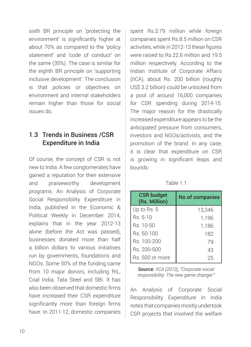sixth BR principle on 'protecting the environment' is significantly higher at about 70% as compared to the 'policy statement' and 'code of conduct' on the same (35%). The case is similar for the eighth BR principle on 'supporting inclusive development'. The conclusion is that policies or objectives on environment and internal stakeholders remain higher than those for social issues do.

## 1.3 Trends in Business /CSR Expenditure in India

Of course, the concept of CSR is not new to India. A few conglomerates have gained a reputation for their extensive and praiseworthy development programs. An Analysis of Corporate Social Responsibility Expenditure in India, published in the Economic & Political Weekly in December 2014, explains that in the year 2012-13 alone (before the Act was passed), businesses donated more than half a billion dollars to various initiatives run by governments, foundations and NGOs. Some 50% of the funding came from 10 major donors, including RIL, Coal India, Tata Steel and SBI. It has also been observed that domestic firms have increased their CSR expenditure significantly more than foreign firms have. In 2011-12, domestic companies

spent Rs.3.79 million while foreign companies spent Rs.8.5 million on CSR activities, while in 2012-13 these figures were raised to Rs.22.6 million and 19.5 million respectively. According to the Indian Institute of Corporate Affairs (IICA), about Rs. 200 billion (roughly US\$ 3.2 billion) could be unlocked from a pool of around 16,000 companies for CSR spending during 2014-15. The major reason for the drastically increased expenditure appears to be the anticipated pressure from consumers, investors and NGOs/activists, and the promotion of the brand. In any case, it is clear that expenditure on CSR is growing in significant leaps and bounds.

| an |
|----|
|----|

| <b>CSR budget</b><br>(Rs. Million) | <b>No.of companies</b> |
|------------------------------------|------------------------|
| Up to Rs. 5                        | 13,346                 |
| Rs. 5-10                           | 1,196                  |
| Rs. 10-50                          | 1,186                  |
| Rs. 50-100                         | 182                    |
| Bs 100-200                         | 79                     |
| Rs. 200-500                        | 43                     |
| Rs. 500 or more                    | 25                     |

Source: *IICA (2013), "Corporate social responsibility: The new game changer."*

An Analysis of Corporate Social Responsibility Expenditure in India notes that companies mostly undertook CSR projects that involved the welfare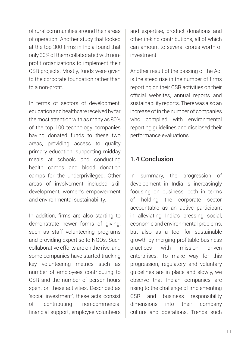of rural communities around their areas of operation. Another study that looked at the top 300 firms in India found that only 30% of them collaborated with nonprofit organizations to implement their CSR projects. Mostly, funds were given to the corporate foundation rather than to a non-profit.

In terms of sectors of development, education and healthcare received by far the most attention with as many as 80% of the top 100 technology companies having donated funds to these two areas, providing access to quality primary education, supporting midday meals at schools and conducting health camps and blood donation camps for the underprivileged. Other areas of involvement included skill development, women's empowerment and environmental sustainability.

In addition, firms are also starting to demonstrate newer forms of giving, such as staff volunteering programs and providing expertise to NGOs. Such collaborative efforts are on the rise, and some companies have started tracking key volunteering metrics such as number of employees contributing to CSR and the number of person-hours spent on these activities. Described as 'social investment', these acts consist of contributing non-commercial financial support, employee volunteers

and expertise, product donations and other in-kind contributions, all of which can amount to several crores worth of investment.

Another result of the passing of the Act is the steep rise in the number of firms reporting on their CSR activities on their official websites, annual reports and sustainability reports. There was also an increase of in the number of companies who complied with environmental reporting guidelines and disclosed their performance evaluations.

# 1.4 Conclusion

In summary, the progression of development in India is increasingly focusing on business, both in terms of holding the corporate sector accountable as an active participant in alleviating India's pressing social, economic and environmental problems, but also as a tool for sustainable growth by merging profitable business practices with mission driven enterprises. To make way for this progression, regulatory and voluntary guidelines are in place and slowly, we observe that Indian companies are rising to the challenge of implementing CSR and business responsibility dimensions into their company culture and operations. Trends such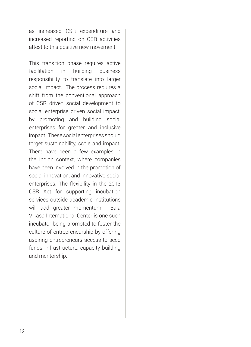as increased CSR expenditure and increased reporting on CSR activities attest to this positive new movement.

This transition phase requires active facilitation in building business responsibility to translate into larger social impact. The process requires a shift from the conventional approach of CSR driven social development to social enterprise driven social impact, by promoting and building social enterprises for greater and inclusive impact. These social enterprises should target sustainability, scale and impact. There have been a few examples in the Indian context, where companies have been involved in the promotion of social innovation, and innovative social enterprises. The flexibility in the 2013 CSR Act for supporting incubation services outside academic institutions will add greater momentum. Bala Vikasa International Center is one such incubator being promoted to foster the culture of entrepreneurship by offering aspiring entrepreneurs access to seed funds, infrastructure, capacity building and mentorship.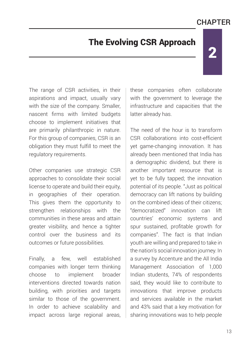# **CHAPTFR**

2

# The Evolving CSR Approach

The range of CSR activities, in their aspirations and impact, usually vary with the size of the company. Smaller, nascent firms with limited budgets choose to implement initiatives that are primarily philanthropic in nature. For this group of companies, CSR is an obligation they must fulfill to meet the regulatory requirements.

Other companies use strategic CSR approaches to consolidate their social license to operate and build their equity, in geographies of their operation. This gives them the opportunity to strengthen relationships with the communities in these areas and attain greater visibility, and hence a tighter control over the business and its outcomes or future possibilities.

Finally, a few, well established companies with longer term thinking choose to implement broader interventions directed towards nation building, with priorities and targets similar to those of the government. In order to achieve scalability and impact across large regional areas, these companies often collaborate with the government to leverage the infrastructure and capacities that the latter already has.

The need of the hour is to transform CSR collaborations into cost-efficient yet game-changing innovation. It has already been mentioned that India has a demographic dividend, but there is another important resource that is yet to be fully tapped; the innovation potential of its people. "Just as political democracy can lift nations by building on the combined ideas of their citizens; "democratized" innovation can lift countries' economic systems and spur sustained, profitable growth for companies". The fact is that Indian youth are willing and prepared to take in the nation's social innovation journey. In a survey by Accenture and the All India Management Association of 1,000 Indian students, 74% of respondents said, they would like to contribute to innovations that improve products and services available in the market and 43% said that a key motivation for sharing innovations was to help people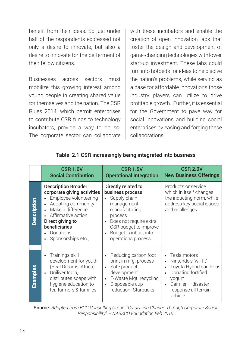benefit from their ideas. So just under half of the respondents expressed not only a desire to innovate, but also a desire to innovate for the betterment of their fellow citizens.

Businesses across sectors must mobilize this growing interest among young people in creating shared value for themselves and the nation. The CSR Rules 2014, which permit enterprises to contribute CSR funds to technology incubators, provide a way to do so. The corporate sector can collaborate with these incubators and enable the creation of open innovation labs that foster the design and development of game-changing technologies with lower start-up investment. These labs could turn into hotbeds for ideas to help solve the nation's problems, while serving as a base for affordable innovations those industry players can utilize to drive profitable growth. Further, it is essential for the Government to pave way for social innovations and building social enterprises by easing and forging these collaborations.

|             | <b>CSR 1.0V</b><br><b>Social Contribution</b>                                                                                                                                                                                                              | <b>CSR 1.5V</b><br><b>Operational Integration</b>                                                                                                                                                     | <b>CSR 2.0V</b><br><b>New Business Offerings</b>                                                                                                           |
|-------------|------------------------------------------------------------------------------------------------------------------------------------------------------------------------------------------------------------------------------------------------------------|-------------------------------------------------------------------------------------------------------------------------------------------------------------------------------------------------------|------------------------------------------------------------------------------------------------------------------------------------------------------------|
| Description | <b>Description Broader</b><br>corporate giving activities<br>Employee volunteering<br>Adopting community<br>$\bullet$<br>Make a difference<br>$\bullet$<br>Affirmative action<br>Direct giving to<br>beneficiaries<br>Donations<br>Sponsorships etc.,<br>٠ | Directly related to<br>business process<br>Supply chain<br>management,<br>manufacturing<br>process<br>Does not require extra<br>CSR budget to improve<br>Budget is inbuilt into<br>operations process | Products or service<br>which in itself changes<br>the inducting norm, while<br>address key social issues<br>and challenges                                 |
| Examples    | Trainings skill<br>$\bullet$<br>development for youth<br>(Real Dreams, Africa)<br>Uniliver India,<br>$\bullet$<br>distributes soaps with<br>hygiene education to<br>tea farmers & families                                                                 | Reducing carbon foot<br>print in mfg. process<br>Safe product<br>$\bullet$<br>development<br>E-Waste Mgt. recycling<br>Disposable cup<br>reduction-Starbucks                                          | Tesla motors<br>Nintendo's 'wii-fit'<br>Toyota Hybrid car 'Prius'<br>Donating fortified<br>yogurt<br>Daimler - disaster<br>response all terrain<br>vehicle |

### Table 2.1 CSR increasingly being integrated into business

Source: *Adopted from BCG Consulting Group: "Catalyzing Change Through Corporate Social Responsibility" – NASSCO Foundation Feb.2015*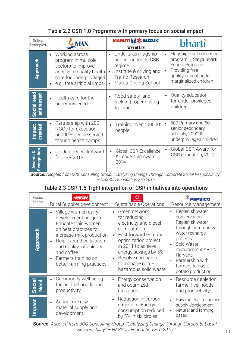### Table 2.2 CSR 1.0 Programs with primary focus on social impact

| Select<br>Examples                | MAX                                                                                                                                                                          | <b>MARUTISES</b> SUZUKI<br><b>Way of Life!</b>                                                                                                                  | <b>bharti</b>                                                                                                                           |
|-----------------------------------|------------------------------------------------------------------------------------------------------------------------------------------------------------------------------|-----------------------------------------------------------------------------------------------------------------------------------------------------------------|-----------------------------------------------------------------------------------------------------------------------------------------|
| Approach                          | Working across<br>$\bullet$<br>program in multiple<br>sectors to improve<br>access to quality health<br>care for underprivileged<br>e.g., free artificial limbs<br>$\bullet$ | Undertaken flagship<br>$\bullet$<br>project under its CSR<br>regime<br>Institute & driving and<br><b>Traffic Research</b><br>Maruti Driving School<br>$\bullet$ | Flagship rural education<br>program - Satya Bharti<br>School Program<br>Providing free<br>quality education to<br>marginalized children |
| Social need<br>addressed          | Health care for the<br>$\bullet$<br>underprivileged                                                                                                                          | Rood safety and<br>$\bullet$<br>lack of proper driving<br>training                                                                                              | Quality education<br>for under privileged<br>children                                                                                   |
| <b>Impact</b><br>created          | Partnership with 280<br>۰<br>NGOs for execution<br>65000 + people served<br>though health camps                                                                              | Training over 700000<br>people                                                                                                                                  | 500 Primary and 50<br>senior secondary<br>schools; 200000 +<br>underprivileged children                                                 |
| Recognition<br>œ<br><b>Awards</b> | Golden Peacock Award<br>$\bullet$<br>for CSR 2013                                                                                                                            | Global CSR Excellence<br>& Leadership Award<br>2014                                                                                                             | Global CSR Award for<br>CSR education, 2012                                                                                             |

Source: *Adopted from BCG Consulting Group: "Catalyzing Change Through Corporate Social Responsibility" – NASSCO Foundation Feb.2015*

### Table 2.3 CSR 1.5 Tight integration of CSR initiatives into operations

| Focus<br>Theme | <b>NESCAFE</b><br>Rural Supplier development                                                                                                                                                                                                                           | Sustainable Operations                                                                                                                                                                                                                                            | <b>PEPSICO</b><br>Resource Management                                                                                                                                                                              |
|----------------|------------------------------------------------------------------------------------------------------------------------------------------------------------------------------------------------------------------------------------------------------------------------|-------------------------------------------------------------------------------------------------------------------------------------------------------------------------------------------------------------------------------------------------------------------|--------------------------------------------------------------------------------------------------------------------------------------------------------------------------------------------------------------------|
| Approach       | Village women dairy<br>development program:<br>Educate train women<br>on best practices to<br>increase milk production<br>Help expand cultivation<br>$\bullet$<br>and quality of chicory<br>and coffee<br>Farmers training on<br>$\bullet$<br>better farming practices | Green network<br>$\bullet$<br>for reducing<br>electricity and diesel<br>computation<br>Fast forward entering<br>optimization project<br>in 2011 to achieve<br>energy savings by 5%<br>Resolve campaign<br>$\bullet$<br>to manage non $-$<br>hazardous solid waste | Replenish water<br>conservation,<br>Replenish water<br>through community<br>water recharge<br>projects<br>Sold Waste<br>management AP, TN,<br>Haryana<br>Partnership with<br>farmers to boost<br>potato production |
| Social<br>Need | Community well-being<br>$\bullet$<br>farmer livelihoods and<br>productivity                                                                                                                                                                                            | Energy conservation<br>$\bullet$<br>and optimized<br>utilization                                                                                                                                                                                                  | Resource depletion<br>farmer livelihoods<br>and productivity                                                                                                                                                       |
| Impact         | Agriculture raw<br>$\bullet$<br>material supply and<br>development                                                                                                                                                                                                     | Reduction in carbon<br>$\bullet$<br>emission. Energy<br>consumption reduced<br>by 5% in six circles                                                                                                                                                               | Raw material resources<br>supply development<br>Natural and farming<br>based                                                                                                                                       |

Source: *Adopted from BCG Consulting Group: "Catalyzing Change Through Corporate Social Responsibility" – NASSCO Foundation Feb.2015*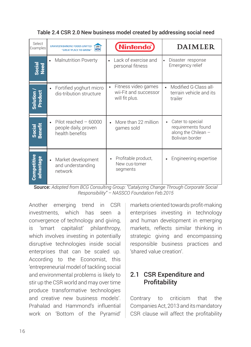| Table 2.4 CSR 2.0 New business model created by addressing social need |  |  |  |
|------------------------------------------------------------------------|--|--|--|
|                                                                        |  |  |  |

| Select<br>Examples       | <b>GRAMEEN DANONE FOODS LIMITED</b><br>গ্ৰামীণ<br><b>Stere</b><br>"GREAT PLACE TO GROW" | <b>Nintendo</b>                                                | <b>DAIMLER</b>                                                                   |
|--------------------------|-----------------------------------------------------------------------------------------|----------------------------------------------------------------|----------------------------------------------------------------------------------|
| Social<br>Need           | <b>Malnutrition Poverty</b>                                                             | Lack of exercise and<br>$\bullet$<br>personal fitness          | Disaster response<br>$\bullet$<br>Emergency relief                               |
| Solution /<br>Product    | Fortified yoghurt micro<br>dis-tribution structure                                      | Fitness video games<br>wii-Fit and successor<br>will fit plus. | Modified G-Class all-<br>terrain vehicle and its<br>trailer                      |
| Social<br>Benefit        | Pilot reached $-60000$<br>people daily, proven<br>health benefits                       | More than 22 million<br>games sold                             | Cater to special<br>requirements found<br>along the Chilean -<br>Bolivian border |
| Competitive<br>advantage | Market development<br>$\bullet$<br>and understanding<br>network                         | Profitable product,<br>New cus-tomer<br>segments               | Engineering expertise                                                            |

Source: *Adopted from BCG Consulting Group: "Catalyzing Change Through Corporate Social Responsibility" – NASSCO Foundation Feb.2015*

Another emerging trend in CSR investments, which has seen a convergence of technology and giving, is 'smart capitalist' philanthropy, which involves investing in potentially disruptive technologies inside social enterprises that can be scaled up. According to the Economist, this 'entrepreneurial model of tackling social and environmental problems is likely to stir up the CSR world and may over time produce transformative technologies and creative new business models'. Prahalad and Hammond's influential work on 'Bottom of the Pyramid'

markets oriented towards profit-making enterprises investing in technology and human development in emerging markets, reflects similar thinking in strategic giving and encompassing responsible business practices and 'shared value creation'.

### 2.1 CSR Expenditure and **Profitability**

Contrary to criticism that the Companies Act, 2013 and its mandatory CSR clause will affect the profitability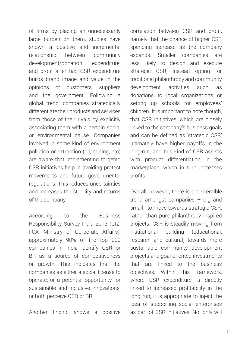of firms by placing an unnecessarily large burden on them, studies have shown a positive and incremental relationship between community development/donation expenditure, and profit after tax. CSR expenditure builds brand image and value in the opinions of customers, suppliers and the government. Following a global trend, companies strategically differentiate their products and services from those of their rivals by explicitly associating them with a certain social or environmental cause. Companies involved in some kind of environment pollution or extraction (oil, mining, etc) are aware that implementing targeted CSR initiatives help in avoiding protest movements and future governmental regulations. This reduces uncertainties and increases the stability and returns of the company.

According to the Business Responsibility Survey India 2013 (GIZ, IICA, Ministry of Corporate Affairs), approximately 90% of the top 200 companies in India identify CSR or BR as a source of competitiveness or growth. This indicates that the companies as either a social license to operate, or a potential opportunity for sustainable and inclusive innovations, or both perceive CSR or BR.

Another finding shows a positive

correlation between CSR and profit, namely that the chance of higher CSR spending increase as the company expands. Smaller companies are less likely to design and execute strategic CSR, instead opting for traditional philanthropy and community development activities such as donations to local organizations or setting up schools for employees' children. It is important to note though, that CSR initiatives, which are closely linked to the company's business goals and can be defined as 'strategic CSR' ultimately have higher payoffs in the long-run, and this kind of CSR assists with product differentiation in the marketplace, which in turn increases profits.

Overall, however, there is a discernible trend amongst companies – big and small - to move towards strategic CSR, rather than pure philanthropy inspired projects. CSR is steadily moving from institutional building (educational, research and cultural) towards more sustainable community development projects and goal-oriented investments that are linked to the business objectives. Within this framework, where CSR expenditure is directly linked to increased profitability in the long run, it is appropriate to inject the idea of supporting social enterprises as part of CSR initiatives. Not only will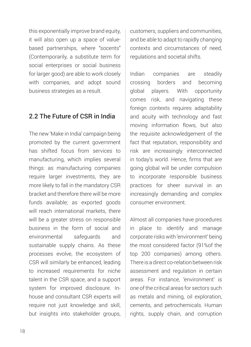this exponentially improve brand equity, it will also open up a space of valuebased partnerships, where "socents" (Contemporarily, a substitute term for social enterprises or social business for larger good) are able to work closely with companies, and adopt sound business strategies as a result.

### 2.2 The Future of CSR in India

The new 'Make in India' campaign being promoted by the current government has shifted focus from services to manufacturing, which implies several things: as manufacturing companies require larger investments, they are more likely to fall in the mandatory CSR bracket and therefore there will be more funds available; as exported goods will reach international markets, there will be a greater stress on responsible business in the form of social and environmental safeguards and sustainable supply chains. As these processes evolve, the ecosystem of CSR will similarly be enhanced, leading to increased requirements for niche talent in the CSR space, and a support system for improved disclosure. Inhouse and consultant CSR experts will require not just knowledge and skill, but insights into stakeholder groups, customers, suppliers and communities, and be able to adapt to rapidly changing contexts and circumstances of need, regulations and societal shifts.

Indian companies are steadily crossing borders and becoming global players. With opportunity comes risk, and navigating these foreign contexts requires adaptability and acuity with technology and fast moving information flows, but also the requisite acknowledgement of the fact that reputation, responsibility and risk are increasingly interconnected in today's world. Hence, firms that are going global will be under compulsion to incorporate responsible business practices for sheer survival in an increasingly demanding and complex consumer environment.

Almost all companies have procedures in place to identify and manage corporate risks with 'environment' being the most considered factor (91%of the top 200 companies) among others. There is a direct co-relation between risk assessment and regulation in certain areas. For instance, 'environment' is one of the critical areas for sectors such as metals and mining, oil exploration, cements, and petrochemicals. Human rights, supply chain, and corruption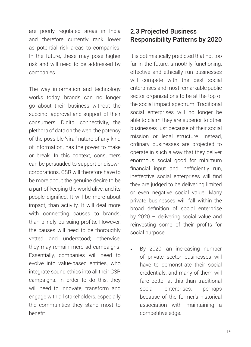are poorly regulated areas in India and therefore currently rank lower as potential risk areas to companies. In the future, these may pose higher risk and will need to be addressed by companies.

The way information and technology works today, brands can no longer go about their business without the succinct approval and support of their consumers. Digital connectivity, the plethora of data on the web, the potency of the possible 'viral' nature of any kind of information, has the power to make or break. In this context, consumers can be persuaded to support or disown corporations. CSR will therefore have to be more about the genuine desire to be a part of keeping the world alive, and its people dignified. It will be more about impact, than activity. It will deal more with connecting causes to brands, than blindly pursuing profits. However, the causes will need to be thoroughly vetted and understood; otherwise, they may remain mere ad campaigns. Essentially, companies will need to evolve into value-based entities, who integrate sound ethics into all their CSR campaigns. In order to do this, they will need to innovate, transform and engage with all stakeholders, especially the communities they stand most to benefit.

### 2.3 Projected Business Responsibility Patterns by 2020

It is optimistically predicted that not too far in the future, smoothly functioning, effective and ethically run businesses will compete with the best social enterprises and most remarkable public sector organizations to be at the top of the social impact spectrum. Traditional social enterprises will no longer be able to claim they are superior to other businesses just because of their social mission or legal structure. Instead, ordinary businesses are projected to operate in such a way that they deliver enormous social good for minimum financial input and inefficiently run, ineffective social enterprises will find they are judged to be delivering limited or even negative social value. Many private businesses will fall within the broad definition of social enterprise by 2020 – delivering social value and reinvesting some of their profits for social purpose.

By 2020, an increasing number of private sector businesses will have to demonstrate their social credentials, and many of them will fare better at this than traditional social enterprises, perhaps because of the former's historical association with maintaining a competitive edge.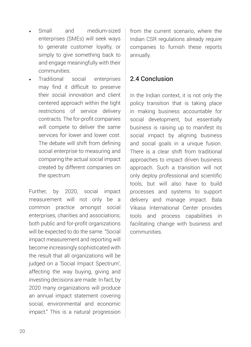- Small and medium-sized enterprises (SMEs) will seek ways to generate customer loyalty, or simply to give something back to and engage meaningfully with their communities.
- Traditional social enterprises may find it difficult to preserve their social innovation and client centered approach within the tight restrictions of service delivery contracts. The for-profit companies will compete to deliver the same services for lower and lower cost. The debate will shift from defining social enterprise to measuring and comparing the actual social impact created by different companies on the spectrum.

Further, by 2020, social impact measurement will not only be a common practice amongst social enterprises, charities and associations; both public and for-profit organizations will be expected to do the same. "Social impact measurement and reporting will become increasingly sophisticated with the result that all organizations will be judged on a 'Social Impact Spectrum', affecting the way buying, giving and investing decisions are made. In fact, by 2020 many organizations will produce an annual impact statement covering social, environmental and economic impact." This is a natural progression

from the current scenario, where the Indian CSR regulations already require companies to furnish these reports annually.

### 2.4 Conclusion

In the Indian context, it is not only the policy transition that is taking place in making business accountable for social development, but essentially business is raising up to manifest its social impact by aligning business and social goals in a unique fusion. There is a clear shift from traditional approaches to impact driven business approach. Such a transition will not only deploy professional and scientific tools, but will also have to build processes and systems to support delivery and manage impact. Bala Vikasa International Center provides tools and process capabilities in facilitating change with business and communities.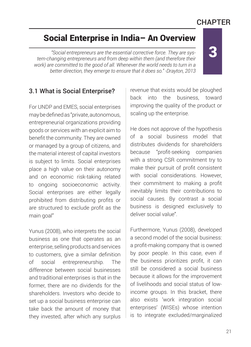# **CHAPTER**

# Social Enterprise in India– An Overview

*"Social entrepreneurs are the essential corrective force. They are system-changing entrepreneurs and from deep within them (and therefore their work) are committed to the good of all. Whenever the world needs to turn in a better direction, they emerge to ensure that it does so." -Drayton, 2013*

# 5

### 3.1 What is Social Enterprise?

For UNDP and EMES, social enterprises may be defined as "private, autonomous, entrepreneurial organizations providing goods or services with an explicit aim to benefit the community. They are owned or managed by a group of citizens, and the material interest of capital investors is subject to limits. Social enterprises place a high value on their autonomy and on economic risk-taking related to ongoing socioeconomic activity. Social enterprises are either legally prohibited from distributing profits or are structured to exclude profit as the main goal"

Yunus (2008), who interprets the social business as one that operates as an enterprise, selling products and services to customers, give a similar definition of social entrepreneurship. The difference between social businesses and traditional enterprises is that in the former, there are no dividends for the shareholders. Investors who decide to set up a social business enterprise can take back the amount of money that they invested, after which any surplus revenue that exists would be ploughed back into the business, toward improving the quality of the product or scaling up the enterprise.

He does not approve of the hypothesis of a social business model that distributes dividends for shareholders because "profit-seeking companies with a strong CSR commitment try to make their pursuit of profit consistent with social considerations. However, their commitment to making a profit inevitably limits their contributions to social causes. By contrast a social business is designed exclusively to deliver social value".

Furthermore, Yunus (2008), developed a second model of the social business: a profit-making company that is owned by poor people. In this case, even if the business prioritizes profit, it can still be considered a social business because it allows for the improvement of livelihoods and social status of lowincome groups. In this bracket, there also exists 'work integration social enterprises' (WISEs) whose intention is to integrate excluded/marginalized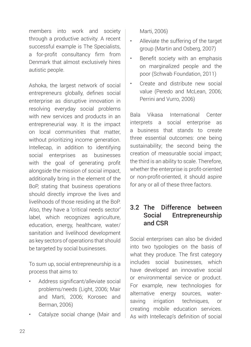members into work and society through a productive activity. A recent successful example is The Specialists, a for-profit consultancy firm from Denmark that almost exclusively hires autistic people.

Ashoka, the largest network of social entrepreneurs globally, defines social enterprise as disruptive innovation in resolving everyday social problems with new services and products in an entrepreneurial way. It is the impact on local communities that matter, without prioritizing income generation. Intellecap, in addition to identifying social enterprises as businesses with the goal of generating profit alongside the mission of social impact, additionally bring in the element of the BoP, stating that business operations should directly improve the lives and livelihoods of those residing at the BoP. Also, they have a 'critical needs sector' label, which recognizes agriculture, education, energy, healthcare, water/ sanitation and livelihood development as key sectors of operations that should be targeted by social businesses.

To sum up, social entrepreneurship is a process that aims to:

- Address significant/alleviate social problems/needs (Light, 2006; Mair and Marti, 2006; Korosec and Berman, 2006)
- Catalyze social change (Mair and

Marti, 2006)

- Alleviate the suffering of the target group (Martin and Osberg, 2007)
- Benefit society with an emphasis on marginalized people and the poor (Schwab Foundation, 2011)
- Create and distribute new social value (Peredo and McLean, 2006; Perrini and Vurro, 2006)

Bala Vikasa International Center interprets a social enterprise as a business that stands to create three essential outcomes: one being sustainability; the second being the creation of measurable social impact; the third is an ability to scale. Therefore, whether the enterprise is profit-oriented or non-profit-oriented, it should aspire for any or all of these three factors.

### 3.2 The Difference between Social Entrepreneurship and CSR

Social enterprises can also be divided into two typologies on the basis of what they produce. The first category includes social businesses, which have developed an innovative social or environmental service or product. For example, new technologies for alternative energy sources, watersaving irrigation techniques, or creating mobile education services. As with Intellecap's definition of social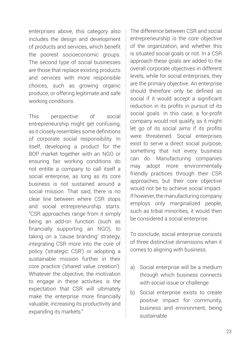enterprises above, this category also includes the design and development of products and services, which benefit the poorest socioeconomic groups. The second type of social businesses are those that replace existing products and services with more responsible choices, such as growing organic produce, or offering legitimate and safe working conditions.

This perspective of social entrepreneurship might get confusing, as it closely resembles some definitions of corporate social responsibility. In itself, developing a product for the BOP market together with an NGO or ensuring fair working conditions do not entitle a company to call itself a social enterprise, as long as its core business is not sustained around a social mission. That said, there is no clear line between where CSR stops and social entrepreneurship starts. "CSR approaches range from it simply being an add-on function (such as financially supporting an NGO), to taking on a 'cause branding' strategy, integrating CSR more into the core of policy ('strategic CSR') or adopting a sustainable mission further in their core practice ('shared value creation'). Whatever the objective, the motivation to engage in these activities is the expectation that CSR will ultimately make the enterprise more financially valuable, increasing its productivity and expanding its markets."

The difference between CSR and social entrepreneurship is the core objective of the organization, and whether this is situated social goals or not. In a CSR approach these goals are added to the overall corporate objectives in different levels, while for social enterprises, they are the primary objective. An enterprise should therefore only be defined as social if it would accept a significant reduction in its profits in pursuit of its social goals. In this case, a for-profit company would not qualify, as it might let go of its social aims if its profits were threatened. Social enterprises exist to serve a direct social purpose, something that not every business can do. Manufacturing companies may adopt more environmentally friendly practices through their CSR approaches, but their core objective would not be to achieve social impact. If however, the manufacturing company employs only marginalized people, such as tribal minorities, it would then be considered a social enterprise.

To conclude, social enterprise consists of three distinctive dimensions when it comes to aligning with business.

- a) Social enterprise will be a medium through which business connects with social issue or challenge
- b) Social enterprise exists to create positive impact for community, business and environment, being sustainable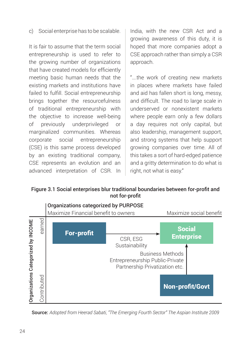c) Social enterprise has to be scalable.

It is fair to assume that the term social entrepreneurship is used to refer to the growing number of organizations that have created models for efficiently meeting basic human needs that the existing markets and institutions have failed to fulfill. Social entrepreneurship brings together the resourcefulness of traditional entrepreneurship with the objective to increase well-being of previously underprivileged or marginalized communities. Whereas corporate social entrepreneurship (CSE) is this same process developed by an existing traditional company, CSE represents an evolution and an advanced interpretation of CSR. In

India, with the new CSR Act and a growing awareness of this duty, it is hoped that more companies adopt a CSE approach rather than simply a CSR approach.

"….the work of creating new markets in places where markets have failed and aid has fallen short is long, messy, and difficult. The road to large scale in underserved or nonexistent markets where people earn only a few dollars a day requires not only capital, but also leadership, management support, and strong systems that help support growing companies over time. All of this takes a sort of hard-edged patience and a gritty determination to do what is right, not what is easy."

Figure 3.1 Social enterprises blur traditional boundaries between for-profit and not for-profit



Source: *Adopted from Heerad Sabati, "The Emerging Fourth Sector" The Aspian Institute 2009*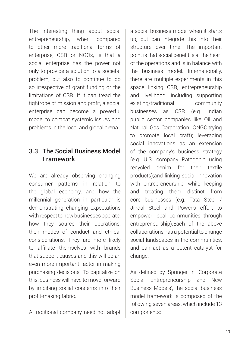The interesting thing about social entrepreneurship, when compared to other more traditional forms of enterprise, CSR or NGOs, is that a social enterprise has the power not only to provide a solution to a societal problem, but also to continue to do so irrespective of grant funding or the limitations of CSR. If it can tread the tightrope of mission and profit, a social enterprise can become a powerful model to combat systemic issues and problems in the local and global arena.

## 3.3 The Social Business Model Framework

We are already observing changing consumer patterns in relation to the global economy, and how the millennial generation in particular is demonstrating changing expectations with respect to how businesses operate, how they source their operations, their modes of conduct and ethical considerations. They are more likely to affiliate themselves with brands that support causes and this will be an even more important factor in making purchasing decisions. To capitalize on this, business will have to move forward by imbibing social concerns into their profit-making fabric.

A traditional company need not adopt

a social business model when it starts up, but can integrate this into their structure over time. The important point is that social benefit is at the heart of the operations and is in balance with the business model. Internationally, there are multiple experiments in this space linking CSR, entrepreneurship and livelihood, including supporting existing/traditional community businesses as CSR (e.g. Indian public sector companies like Oil and Natural Gas Corporation [ONGC]trying to promote local craft); leveraging social innovations as an extension of the company's business strategy (e.g. U.S. company Patagonia using recycled denim for their textile products);and linking social innovation with entrepreneurship, while keeping and treating them distinct from core businesses (e.g. Tata Steel / Jindal Steel and Power's effort to empower local communities through entrepreneurship).Each of the above collaborations has a potential to change social landscapes in the communities, and can act as a potent catalyst for change.

As defined by Springer in 'Corporate Social Entrepreneurship and New Business Models', the social business model framework is composed of the following seven areas, which include 13 components: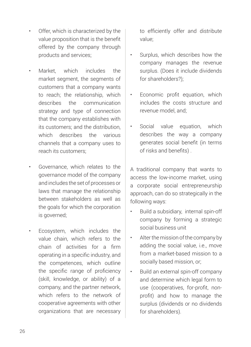- Offer, which is characterized by the value proposition that is the benefit offered by the company through products and services;
- Market, which includes the market segment, the segments of customers that a company wants to reach; the relationship, which describes the communication strategy and type of connection that the company establishes with its customers; and the distribution, which describes the various channels that a company uses to reach its customers;
- Governance, which relates to the governance model of the company and includes the set of processes or laws that manage the relationship between stakeholders as well as the goals for which the corporation is governed;
- Ecosystem, which includes the value chain, which refers to the chain of activities for a firm operating in a specific industry, and the competences, which outline the specific range of proficiency (skill, knowledge, or ability) of a company, and the partner network, which refers to the network of cooperative agreements with other organizations that are necessary

to efficiently offer and distribute value;

- Surplus, which describes how the company manages the revenue surplus. (Does it include dividends for shareholders?);
- Economic profit equation, which includes the costs structure and revenue model, and;
- Social value equation, which describes the way a company generates social benefit (in terms of risks and benefits) .

A traditional company that wants to access the low-income market, using a corporate social entrepreneurship approach, can do so strategically in the following ways:

- Build a subsidiary, internal spin-off company by forming a strategic social business unit
- Alter the mission of the company by adding the social value, i.e., move from a market-based mission to a socially based mission, or;
- Build an external spin-off company and determine which legal form to use (cooperatives, for-profit, nonprofit) and how to manage the surplus (dividends or no dividends for shareholders).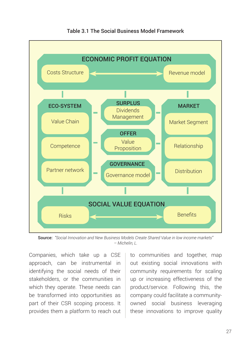

Table 3.1 The Social Business Model Framework

Source: *"Social Innovation and New Business Models Create Shared Value in low income markets" – Michelin, L.*

Companies, which take up a CSE approach, can be instrumental in identifying the social needs of their stakeholders, or the communities in which they operate. These needs can be transformed into opportunities as part of their CSR scoping process. It provides them a platform to reach out

to communities and together, map out existing social innovations with community requirements for scaling up or increasing effectiveness of the product/service. Following this, the company could facilitate a communityowned social business leveraging these innovations to improve quality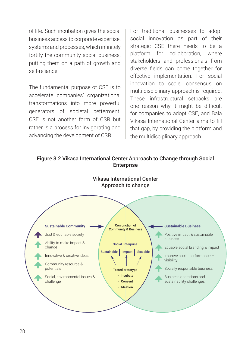of life. Such incubation gives the social business access to corporate expertise, systems and processes, which infinitely fortify the community social business, putting them on a path of growth and self-reliance.

The fundamental purpose of CSE is to accelerate companies' organizational transformations into more powerful generators of societal betterment. CSE is not another form of CSR but rather is a process for invigorating and advancing the development of CSR.

For traditional businesses to adopt social innovation as part of their strategic CSE there needs to be a platform for collaboration, where stakeholders and professionals from diverse fields can come together for effective implementation. For social innovation to scale, consensus on multi-disciplinary approach is required. These infrastructural setbacks are one reason why it might be difficult for companies to adopt CSE, and Bala Vikasa International Center aims to fill that gap, by providing the platform and the multidisciplinary approach.

#### Figure 3.2 Vikasa International Center Approach to Change through Social **Enterprise**

Vikasa International Center



# Approach to change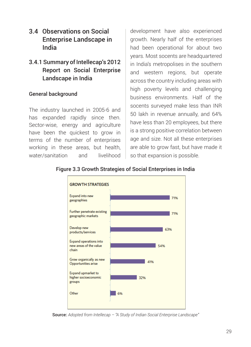- 3.4 Observations on Social Enterprise Landscape in India
- 3.4.1 Summary of Intellecap's 2012 Report on Social Enterprise Landscape in India

#### General background

The industry launched in 2005-6 and has expanded rapidly since then. Sector-wise, energy and agriculture have been the quickest to grow in terms of the number of enterprises working in these areas, but health, water/sanitation and livelihood

development have also experienced growth. Nearly half of the enterprises had been operational for about two years. Most socents are headquartered in India's metropolises in the southern and western regions, but operate across the country including areas with high poverty levels and challenging business environments. Half of the socents surveyed make less than INR 50 lakh in revenue annually, and 64% have less than 20 employees, but there is a strong positive correlation between age and size. Not all these enterprises are able to grow fast, but have made it so that expansion is possible.



#### Figure 3.3 Growth Strategies of Social Enterprises in India

Source: *Adopted from Intellecap – "A Study of Indian Social Enterprise Landscape"*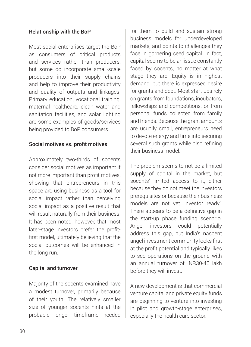### Relationship with the BoP

Most social enterprises target the BoP as consumers of critical products and services rather than producers, but some do incorporate small-scale producers into their supply chains and help to improve their productivity and quality of outputs and linkages. Primary education, vocational training, maternal healthcare, clean water and sanitation facilities, and solar lighting are some examples of goods/services being provided to BoP consumers.

#### Social motives vs. profit motives

Approximately two-thirds of socents consider social motives as important if not more important than profit motives, showing that entrepreneurs in this space are using business as a tool for social impact rather than perceiving social impact as a positive result that will result naturally from their business. It has been noted, however, that most later-stage investors prefer the profitfirst model, ultimately believing that the social outcomes will be enhanced in the long run.

#### Capital and turnover

Majority of the socents examined have a modest turnover, primarily because of their youth. The relatively smaller size of younger socents hints at the probable longer timeframe needed

for them to build and sustain strong business models for underdeveloped markets, and points to challenges they face in garnering seed capital. In fact, capital seems to be an issue constantly faced by socents, no matter at what stage they are. Equity is in highest demand, but there is expressed desire for grants and debt. Most start-ups rely on grants from foundations, incubators, fellowships and competitions, or from personal funds collected from family and friends. Because the grant amounts are usually small, entrepreneurs need to devote energy and time into securing several such grants while also refining their business model.

The problem seems to not be a limited supply of capital in the market, but socents' limited access to it, either because they do not meet the investors prerequisites or because their business models are not yet 'investor ready'. There appears to be a definitive gap in the start-up phase funding scenario. Angel investors could potentially address this gap, but India's nascent angel investment community looks first at the profit potential and typically likes to see operations on the ground with an annual turnover of INR30-40 lakh before they will invest.

A new development is that commercial venture capital and private equity funds are beginning to venture into investing in pilot and growth-stage enterprises, especially the health care sector.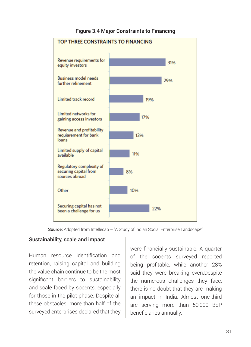#### Figure 3.4 Major Constraints to Financing



Source: Adopted from Intellecap – "A Study of Indian Social Enterprise Landscape"

#### Sustainability, scale and impact

Human resource identification and retention, raising capital and building the value chain continue to be the most significant barriers to sustainability and scale faced by socents, especially for those in the pilot phase. Despite all these obstacles, more than half of the surveyed enterprises declared that they

were financially sustainable. A quarter of the socents surveyed reported being profitable, while another 28% said they were breaking even.Despite the numerous challenges they face, there is no doubt that they are making an impact in India. Almost one-third are serving more than 50,000 BoP beneficiaries annually.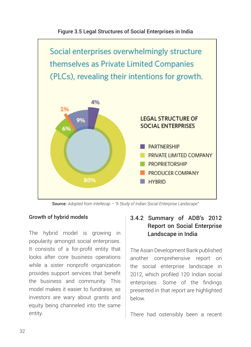

Figure 3.5 Legal Structures of Social Enterprises in India

Source: *Adopted from Intellecap – "A Study of Indian Social Enterprise Landscape"*

### Growth of hybrid models

The hybrid model is growing in popularity amongst social enterprises. It consists of a for-profit entity that looks after core business operations while a sister nonprofit organization provides support services that benefit the business and community. This model makes it easier to fundraise, as investors are wary about grants and equity being channeled into the same entity.

### 3.4.2 Summary of ADB's 2012 Report on Social Enterprise Landscape in India

The Asian Development Bank published another comprehensive report on the social enterprise landscape in 2012, which profiled 120 Indian social enterprises. Some of the findings presented in that report are highlighted below.

There had ostensibly been a recent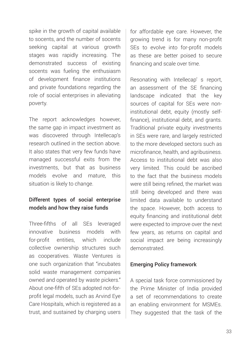spike in the growth of capital available to socents, and the number of socents seeking capital at various growth stages was rapidly increasing. The demonstrated success of existing socents was fueling the enthusiasm of development finance institutions and private foundations regarding the role of social enterprises in alleviating poverty.

The report acknowledges however, the same gap in impact investment as was discovered through Intellecap's research outlined in the section above. It also states that very few funds have managed successful exits from the investments, but that as business models evolve and mature, this situation is likely to change.

#### Different types of social enterprise models and how they raise funds

Three-fifths of all SEs leveraged innovative business models with for-profit entities, which include collective ownership structures such as cooperatives. Waste Ventures is one such organization that "incubates solid waste management companies owned and operated by waste pickers." About one-fifth of SEs adopted not-forprofit legal models, such as Arvind Eye Care Hospitals, which is registered as a trust, and sustained by charging users for affordable eye care. However, the growing trend is for many non-profit SEs to evolve into for-profit models as these are better poised to secure financing and scale over time.

Resonating with Intellecap' s report, an assessment of the SE financing landscape indicated that the key sources of capital for SEs were noninstitutional debt, equity (mostly selffinance), institutional debt, and grants. Traditional private equity investments in SEs were rare, and largely restricted to the more developed sectors such as microfinance, health, and agribusiness. Access to institutional debt was also very limited. This could be ascribed to the fact that the business models were still being refined, the market was still being developed and there was limited data available to understand the space. However, both access to equity financing and institutional debt were expected to improve over the next few years, as returns on capital and social impact are being increasingly demonstrated.

#### Emerging Policy framework

A special task force commissioned by the Prime Minister of India provided a set of recommendations to create an enabling environment for MSMEs. They suggested that the task of the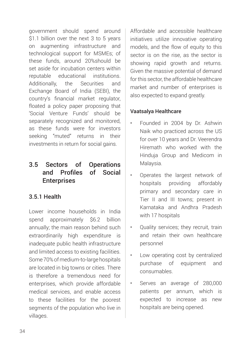government should spend around \$1.1 billion over the next 3 to 5 years on augmenting infrastructure and technological support for MSMEs; of these funds, around 20%should be set aside for incubation centers within reputable educational institutions. Additionally, the Securities and Exchange Board of India (SEBI), the country's financial market regulator, floated a policy paper proposing that 'Social Venture Funds' should be separately recognized and monitored, as these funds were for investors seeking "muted" returns in their investments in return for social gains.

## 3.5 Sectors of Operations and Profiles of Social **Enterprises**

#### 3.5.1 Health

Lower income households in India spend approximately \$6.2 billion annually; the main reason behind such extraordinarily high expenditure is inadequate public health infrastructure and limited access to existing facilities. Some 70% of medium-to-large hospitals are located in big towns or cities. There is therefore a tremendous need for enterprises, which provide affordable medical services, and enable access to these facilities for the poorest segments of the population who live in villages.

Affordable and accessible healthcare initiatives utilize innovative operating models, and the flow of equity to this sector is on the rise, as the sector is showing rapid growth and returns. Given the massive potential of demand for this sector, the affordable healthcare market and number of enterprises is also expected to expand greatly.

#### Vaatsalya Healthcare

- Founded in 2004 by Dr. Ashwin Naik who practiced across the US for over 10 years and Dr. Veerendra Hiremath who worked with the Hinduja Group and Medicom in Malaysia.
- Operates the largest network of hospitals providing affordably primary and secondary care in Tier II and III towns; present in Karnataka and Andhra Pradesh with 17 hospitals
- Quality services; they recruit, train and retain their own healthcare personnel
- Low operating cost by centralized purchase of equipment and consumables.
- Serves an average of 280,000 patients per annum, which is expected to increase as new hospitals are being opened.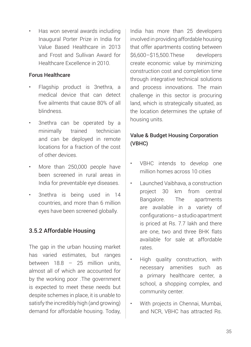• Has won several awards including Inaugural Porter Prize in India for Value Based Healthcare in 2013 and Frost and Sullivan Award for Healthcare Excellence in 2010.

#### Forus Healthcare

- Flagship product is 3nethra, a medical device that can detect five ailments that cause 80% of all blindness.
- 3nethra can be operated by a minimally trained technician and can be deployed in remote locations for a fraction of the cost of other devices.
- More than 250,000 people have been screened in rural areas in India for preventable eye diseases.
- 3nethra is being used in 14 countries, and more than 6 million eyes have been screened globally.

## 3.5.2 Affordable Housing

The gap in the urban housing market has varied estimates, but ranges between 18.8 – 25 million units, almost all of which are accounted for by the working poor .The government is expected to meet these needs but despite schemes in place, it is unable to satisfy the incredibly high (and growing) demand for affordable housing. Today,

India has more than 25 developers involved in providing affordable housing that offer apartments costing between \$6,600–\$15,500.These developers create economic value by minimizing construction cost and completion time through integrative technical solutions and process innovations. The main challenge in this sector is procuring land, which is strategically situated, as the location determines the uptake of housing units.

## Value & Budget Housing Corporation (VBHC)

- VBHC intends to develop one million homes across 10 cities
- Launched Vaibhava, a construction project 30 km from central Bangalore. The apartments are available in a variety of configurations– a studio apartment is priced at Rs. 7.7 lakh and there are one, two and three BHK flats available for sale at affordable rates.
- High quality construction, with necessary amenities such as a primary healthcare center, a school, a shopping complex, and community center.
- With projects in Chennai, Mumbai, and NCR, VBHC has attracted Rs.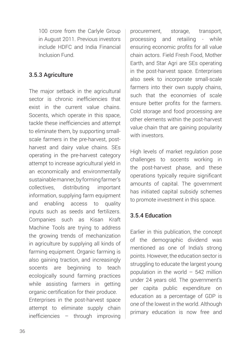100 crore from the Carlyle Group in August 2011. Previous investors include HDFC and India Financial Inclusion Fund.

#### 3.5.3 Agriculture

The major setback in the agricultural sector is chronic inefficiencies that exist in the current value chains. Socents, which operate in this space, tackle these inefficiencies and attempt to eliminate them, by supporting smallscale farmers in the pre-harvest, postharvest and dairy value chains. SEs operating in the pre-harvest category attempt to increase agricultural yield in an economically and environmentally sustainable manner, by forming farmer's collectives, distributing important information, supplying farm equipment and enabling access to quality inputs such as seeds and fertilizers. Companies such as Kisan Kraft Machine Tools are trying to address the growing trends of mechanization in agriculture by supplying all kinds of farming equipment. Organic farming is also gaining traction, and increasingly socents are beginning to teach ecologically sound farming practices while assisting farmers in getting organic certification for their produce. Enterprises in the post-harvest space attempt to eliminate supply chain inefficiencies – through improving

procurement, storage, transport, processing and retailing - while ensuring economic profits for all value chain actors. Field Fresh Food, Mother Earth, and Star Agri are SEs operating in the post-harvest space. Enterprises also seek to incorporate small-scale farmers into their own supply chains, such that the economies of scale ensure better profits for the farmers. Cold storage and food processing are other elements within the post-harvest value chain that are gaining popularity with investors.

High levels of market regulation pose challenges to socents working in the post-harvest phase, and these operations typically require significant amounts of capital. The government has initiated capital subsidy schemes to promote investment in this space.

#### 3.5.4 Education

Earlier in this publication, the concept of the demographic dividend was mentioned as one of India's strong points. However, the education sector is struggling to educate the largest young population in the world  $-542$  million under 24 years old. The government's per capita public expenditure on education as a percentage of GDP is one of the lowest in the world. Although primary education is now free and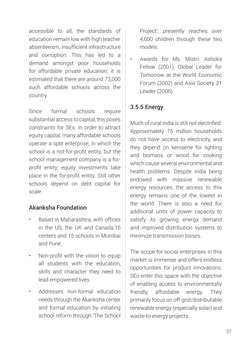accessible to all, the standards of education remain low with high teacher absenteeism, insufficient infrastructure and corruption. This has led to a demand amongst poor households for affordable private education; it is estimated that there are around 73,000 such affordable schools across the country.

Since formal schools require substantial access to capital, this poses constraints for SEs. In order to attract equity capital, many affordable schools operate a split enterprise, in which the school is a not-for-profit entity, but the school management company is a forprofit entity; equity investments take place in the for-profit entity. Still other schools depend on debt capital for scale.

#### Akanksha Foundation

- Based in Maharashtra, with offices in the US, the UK and Canada.15 centers and 15 schools in Mumbai and Pune.
- Non-profit with the vision to equip all students with the education, skills and character they need to lead empowered lives.
- Addresses non-formal education needs through the Akanksha center and formal education by initiating school reform through 'The School

Project'; presently reaches over 4,600 children through these two models.

• Awards for Ms. Mistri- Ashoka Fellow (2001), Global Leader for Tomorrow at the World Economic Forum (2002) and Asia Society 21 Leader (2006).

## 3.5.5 Energy

Much of rural India is still not electrified. Approximately 75 million households do not have access to electricity, and they depend on kerosene for lighting and biomass or wood for cooking which cause several environmental and health problems. Despite India being endowed with massive renewable energy resources, the access to this energy remains one of the lowest in the world. There is also a need for additional units of power capacity to satisfy its growing energy demand and improved distribution systems to minimize transmission losses.

The scope for social enterprises in this market is immense and offers endless opportunities for product innovations. SEs enter this space with the objective of enabling access to environmentally friendly, affordable energy. They primarily focus on off-grid/distributable renewable energy (especially solar) and waste-to-energy projects.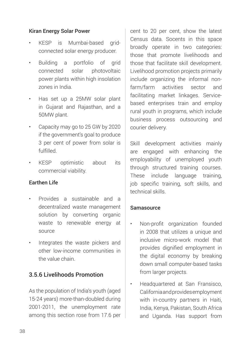#### Kiran Energy Solar Power

- KESP is Mumbai-based gridconnected solar energy producer.
- Building a portfolio of grid connected solar photovoltaic power plants within high insolation zones in India.
- Has set up a 25MW solar plant in Gujarat and Rajasthan, and a 50MW plant.
- Capacity may go to 25 GW by 2020 if the government's goal to produce 3 per cent of power from solar is fulfilled.
- KESP optimistic about its commercial viability.

#### Earthen Life

- Provides a sustainable and a decentralized waste management solution by converting organic waste to renewable energy at source
- Integrates the waste pickers and other low-income communities in the value chain.

#### 3.5.6 Livelihoods Promotion

As the population of India's youth (aged 15-24 years) more-than-doubled during 2001-2011, the unemployment rate among this section rose from 17.6 per

cent to 20 per cent, show the latest Census data. Socents in this space broadly operate in two categories: those that promote livelihoods and those that facilitate skill development. Livelihood promotion projects primarily include organizing the informal nonfarm/farm activities sector and facilitating market linkages. Servicebased enterprises train and employ rural youth in programs, which include business process outsourcing and courier delivery.

Skill development activities mainly are engaged with enhancing the employability of unemployed youth through structured training courses. These include language training, job specific training, soft skills, and technical skills.

#### Samasource

- Non-profit organization founded in 2008 that utilizes a unique and inclusive micro-work model that provides dignified employment in the digital economy by breaking down small computer-based tasks from larger projects.
- Headquartered at San Fransisco, California and provides employment with in-country partners in Haiti, India, Kenya, Pakistan, South Africa and Uganda. Has support from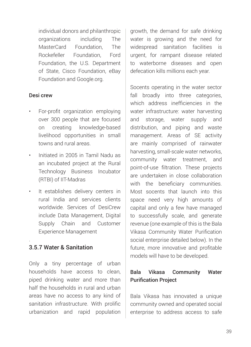individual donors and philanthropic organizations including The MasterCard Foundation, The Rockefeller Foundation, Ford Foundation, the U.S. Department of State, Cisco Foundation, eBay Foundation and Google.org.

#### Desi crew

- For-profit organization employing over 300 people that are focused on creating knowledge-based livelihood opportunities in small towns and rural areas.
- Initiated in 2005 in Tamil Nadu as an incubated project at the Rural Technology Business Incubator (RTBI) of IIT-Madras
- It establishes delivery centers in rural India and services clients worldwide. Services of DesiCrew include Data Management, Digital Supply Chain and Customer Experience Management

#### 3.5.7 Water & Sanitation

.

Only a tiny percentage of urban households have access to clean, piped drinking water and more than half the households in rural and urban areas have no access to any kind of sanitation infrastructure. With prolific urbanization and rapid population

growth, the demand for safe drinking water is growing and the need for widespread sanitation facilities is urgent, for rampant disease related to waterborne diseases and open defecation kills millions each year.

Socents operating in the water sector fall broadly into three categories, which address inefficiencies in the water infrastructure: water harvesting and storage, water supply and distribution, and piping and waste management. Areas of SE activity are mainly comprised of rainwater harvesting, small-scale water networks, community water treatment, and point-of-use filtration. These projects are undertaken in close collaboration with the beneficiary communities. Most socents that launch into this space need very high amounts of capital and only a few have managed to successfully scale, and generate revenue (one example of this is the Bala Vikasa Community Water Purification social enterprise detailed below). In the future, more innovative and profitable models will have to be developed.

### Bala Vikasa Community Water Purification Project

Bala Vikasa has innovated a unique community owned and operated social enterprise to address access to safe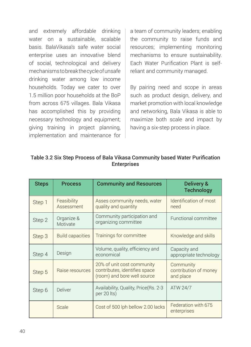and extremely affordable drinking water on a sustainable, scalable basis. BalaVikasa's safe water social enterprise uses an innovative blend of social, technological and delivery mechanisms to break the cycle of unsafe drinking water among low income households. Today we cater to over 1.5 million poor households at the BoP from across 675 villages. Bala Vikasa has accomplished this by providing necessary technology and equipment; giving training in project planning, implementation and maintenance for a team of community leaders; enabling the community to raise funds and resources; implementing monitoring mechanisms to ensure sustainability. Each Water Purification Plant is selfreliant and community managed.

By pairing need and scope in areas such as product design, delivery, and market promotion with local knowledge and networking, Bala Vikasa is able to maximize both scale and impact by having a six-step process in place.

| <b>Steps</b> | <b>Process</b>            | <b>Community and Resources</b>                                                             | Delivery &<br><b>Technology</b>                 |
|--------------|---------------------------|--------------------------------------------------------------------------------------------|-------------------------------------------------|
| Step 1       | Feasibility<br>Assessment | Asses community needs, water<br>quality and quantity                                       | Identification of most<br>need                  |
| Step 2       | Organize &<br>Motivate    | Community participation and<br>organizing committee                                        | Functional committee                            |
| Step 3       | <b>Build capacities</b>   | Trainings for committee                                                                    | Knowledge and skills                            |
| Step 4       | Design                    | Volume, quality, efficiency and<br>economical                                              | Capacity and<br>appropriate technology          |
| Step 5       | Raise resources           | 20% of unit cost community<br>contributes, identifies space<br>(room) and bore well source | Community<br>contribution of money<br>and place |
| Step 6       | <b>Deliver</b>            | Availability, Quality, Price (Rs. 2-3)<br>ATW 24/7<br>per 20 lts)                          |                                                 |
|              | Scale                     | Cost of 500 lph bellow 2.00 lacks                                                          | Federation with 675<br>enterprises              |

| Table 3.2 Six Step Process of Bala Vikasa Community based Water Purification |
|------------------------------------------------------------------------------|
| <b>Enterprises</b>                                                           |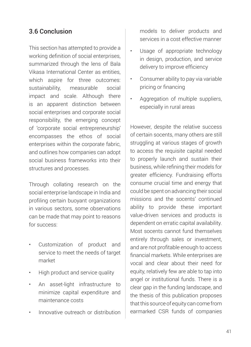## 3.6 Conclusion

This section has attempted to provide a working definition of social enterprises, summarized through the lens of Bala Vikasa International Center as entities, which aspire for three outcomes: sustainability, measurable social impact and scale. Although there is an apparent distinction between social enterprises and corporate social responsibility, the emerging concept of 'corporate social entrepreneurship' encompasses the ethos of social enterprises within the corporate fabric, and outlines how companies can adopt social business frameworks into their structures and processes.

Through collating research on the social enterprise landscape in India and profiling certain buoyant organizations in various sectors, some observations can be made that may point to reasons for success:

- Customization of product and service to meet the needs of target market
- High product and service quality
- An asset-light infrastructure to minimize capital expenditure and maintenance costs
- Innovative outreach or distribution

models to deliver products and services in a cost effective manner

- Usage of appropriate technology in design, production, and service delivery to improve efficiency
- Consumer ability to pay via variable pricing or financing
- Aggregation of multiple suppliers, especially in rural areas

However, despite the relative success of certain socents, many others are still struggling at various stages of growth to access the requisite capital needed to properly launch and sustain their business, while refining their models for greater efficiency. Fundraising efforts consume crucial time and energy that could be spent on advancing their social missions and the socents' continued ability to provide these important value-driven services and products is dependent on erratic capital availability. Most socents cannot fund themselves entirely through sales or investment, and are not profitable enough to access financial markets. While enterprises are vocal and clear about their need for equity, relatively few are able to tap into angel or institutional funds. There is a clear gap in the funding landscape, and the thesis of this publication proposes that this source of equity can come from earmarked CSR funds of companies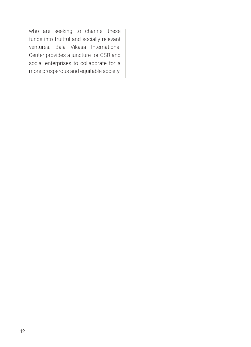who are seeking to channel these funds into fruitful and socially relevant ventures. Bala Vikasa International Center provides a juncture for CSR and social enterprises to collaborate for a more prosperous and equitable society.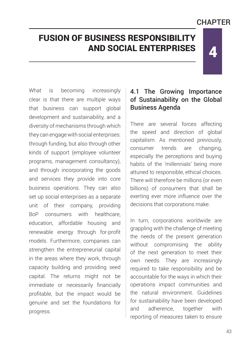# **CHAPTFR**

4

# FUSION OF BUSINESS RESPONSIBILITY AND SOCIAL ENTERPRISES

What is becoming increasingly clear is that there are multiple ways that business can support global development and sustainability, and a diversity of mechanisms through which they can engage with social enterprises: through funding, but also through other kinds of support (employee volunteer programs, management consultancy), and through incorporating the goods and services they provide into core business operations. They can also set up social enterprises as a separate unit of their company, providing BoP consumers with healthcare education, affordable housing and renewable energy through for-profit models. Furthermore, companies can strengthen the entrepreneurial capital in the areas where they work, through capacity building and providing seed capital. The returns might not be immediate or necessarily financially profitable, but the impact would be genuine and set the foundations for progress.

## 4.1 The Growing Importance of Sustainability on the Global Business Agenda

There are several forces affecting the speed and direction of global capitalism. As mentioned previously, consumer trends are changing, especially the perceptions and buying habits of the 'millennials' being more attuned to responsible, ethical choices. There will therefore be millions (or even billions) of consumers that shall be exerting ever more influence over the decisions that corporations make.

In turn, corporations worldwide are grappling with the challenge of meeting the needs of the present generation without compromising the ability of the next generation to meet their own needs. They are increasingly required to take responsibility and be accountable for the ways in which their operations impact communities and the natural environment. Guidelines for sustainability have been developed and adherence, together with reporting of measures taken to ensure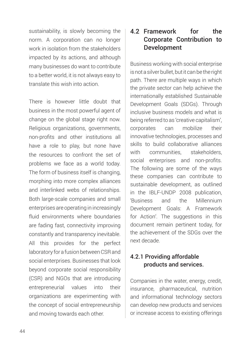sustainability, is slowly becoming the norm. A corporation can no longer work in isolation from the stakeholders impacted by its actions, and although many businesses do want to contribute to a better world, it is not always easy to translate this wish into action.

There is however little doubt that business in the most powerful agent of change on the global stage right now. Religious organizations, governments, non-profits and other institutions all have a role to play, but none have the resources to confront the set of problems we face as a world today. The form of business itself is changing, morphing into more complex alliances and interlinked webs of relationships. Both large-scale companies and small enterprises are operating in increasingly fluid environments where boundaries are fading fast, connectivity improving constantly and transparency inevitable. All this provides for the perfect laboratory for a fusion between CSR and social enterprises. Businesses that look beyond corporate social responsibility (CSR) and NGOs that are introducing entrepreneurial values into their organizations are experimenting with the concept of social entrepreneurship and moving towards each other.

## 4.2 Framework for the Corporate Contribution to Development

Business working with social enterprise is not a silver bullet, but it can be the right path. There are multiple ways in which the private sector can help achieve the internationally established Sustainable Development Goals (SDGs). Through inclusive business models and what is being referred to as 'creative capitalism', corporates can mobilize their innovative technologies, processes and skills to build collaborative alliances with communities, stakeholders, social enterprises and non-profits. The following are some of the ways these companies can contribute to sustainable development, as outlined in the IBLF-UNDP 2008 publication, 'Business and the Millennium Development Goals: A Framework for Action'. The suggestions in this document remain pertinent today, for the achievement of the SDGs over the next decade.

## 4.2.1 Providing affordable products and services.

Companies in the water, energy, credit, insurance, pharmaceutical, nutrition and informational technology sectors can develop new products and services or increase access to existing offerings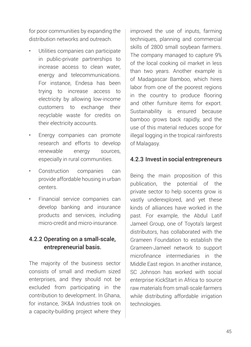for poor communities by expanding the distribution networks and outreach.

- Utilities companies can participate in public-private partnerships to increase access to clean water, energy and telecommunications. For instance, Endesa has been trying to increase access to electricity by allowing low-income customers to exchange their recyclable waste for credits on their electricity accounts.
- Energy companies can promote research and efforts to develop renewable energy sources, especially in rural communities.
- Construction companies can provide affordable housing in urban centers.
- Financial service companies can develop banking and insurance products and services, including micro-credit and micro-insurance.

### 4.2.2 Operating on a small-scale, entrepreneurial basis.

The majority of the business sector consists of small and medium sized enterprises, and they should not be excluded from participating in the contribution to development. In Ghana, for instance, 3K&A Industries took on a capacity-building project where they

improved the use of inputs, farming techniques, planning and commercial skills of 2800 small soybean farmers. The company managed to capture 9% of the local cooking oil market in less than two years. Another example is of Madagascar Bamboo, which hires labor from one of the poorest regions in the country to produce flooring and other furniture items for export. Sustainability is ensured because bamboo grows back rapidly, and the use of this material reduces scope for illegal logging in the tropical rainforests of Malagasy.

#### 4.2.3 Invest in social entrepreneurs

Being the main proposition of this publication, the potential of the private sector to help socents grow is vastly underexplored, and yet these kinds of alliances have worked in the past. For example, the Abdul Latif Jameel Group, one of Toyota's largest distributors, has collaborated with the Grameen Foundation to establish the Grameen-Jameel network to support microfinance intermediaries in the Middle East region. In another instance, SC Johnson has worked with social enterprise KickStart in Africa to source raw materials from small-scale farmers while distributing affordable irrigation technologies.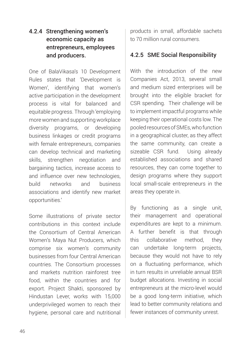## 4.2.4 Strengthening women's economic capacity as entrepreneurs, employees and producers.

One of BalaVikasa's 10 Development Rules states that 'Development is Women', identifying that women's active participation in the development process is vital for balanced and equitable progress. Through 'employing more women and supporting workplace diversity programs, or developing business linkages or credit programs with female entrepreneurs, companies can develop technical and marketing skills, strengthen negotiation and bargaining tactics, increase access to and influence over new technologies, build networks and business associations and identify new market opportunities.'

Some illustrations of private sector contributions in this context include the Consortium of Central American Women's Maya Nut Producers, which comprise six women's community businesses from four Central American countries. The Consortium processes and markets nutrition rainforest tree food, within the countries and for export. Project Shakti, sponsored by Hindustan Lever, works with 15,000 underprivileged women to reach their hygiene, personal care and nutritional products in small, affordable sachets to 70 million rural consumers.

### 4.2.5 SME Social Responsibility

With the introduction of the new Companies Act, 2013, several small and medium sized enterprises will be brought into the eligible bracket for CSR spending. Their challenge will be to implement impactful programs while keeping their operational costs low. The pooled resources of SMEs, who function in a geographical cluster, as they affect the same community, can create a sizeable CSR fund. Using already established associations and shared resources, they can come together to design programs where they support local small-scale entrepreneurs in the areas they operate in.

By functioning as a single unit, their management and operational expenditures are kept to a minimum. A further benefit is that through this collaborative method, they can undertake long-term projects, because they would not have to rely on a fluctuating performance, which in turn results in unreliable annual BSR budget allocations. Investing in social entrepreneurs at the micro-level would be a good long-term initiative, which lead to better community relations and fewer instances of community unrest.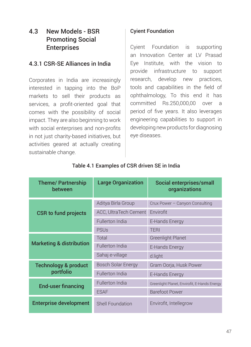## 4.3 New Models - BSR Promoting Social **Enterprises**

#### 4.3.1 CSR-SE Alliances in India

Corporates in India are increasingly interested in tapping into the BoP markets to sell their products as services, a profit-oriented goal that comes with the possibility of social impact. They are also beginning to work with social enterprises and non-profits in not just charity-based initiatives, but activities geared at actually creating sustainable change.

#### Cyient Foundation

Cyient Foundation is supporting an Innovation Center at LV Prasad Eye Institute, with the vision to provide infrastructure to support research, develop new practices, tools and capabilities in the field of ophthalmology, To this end it has committed Rs.250,000,00 over a period of five years. It also leverages engineering capabilities to support in developing new products for diagnosing eye diseases.

| <b>Theme/ Partnership</b><br>between | <b>Large Organization</b> | Social enterprises/small<br>organizations    |
|--------------------------------------|---------------------------|----------------------------------------------|
|                                      | Aditya Birla Group        | Crux Power - Canyon Consulting               |
| <b>CSR to fund projects</b>          | ACC, UltraTech Cement     | Envirofit                                    |
|                                      | Fullerton India           | E-Hands Energy                               |
|                                      | PSUs                      | <b>TERI</b>                                  |
|                                      | Total                     | <b>Greenlight Planet</b>                     |
| <b>Marketing &amp; distribution</b>  | Fullerton India           | E-Hands Energy                               |
|                                      | Sahaj e-village           | d.light                                      |
| <b>Technology &amp; product</b>      | <b>Bosch Solar Energy</b> | Gram Oorja, Husk Power                       |
| portfolio                            | Fullerton India           | E-Hands Energy                               |
| <b>End-user financing</b>            | Fullerton India           | Greenlight Planet, Envirofit, E-Hands Energy |
|                                      | <b>ESAF</b>               | <b>Barefoot Power</b>                        |
| <b>Enterprise development</b>        | Shell Foundation          | Envirofit, Intellegrow                       |

#### Table 4.1 Examples of CSR driven SE in India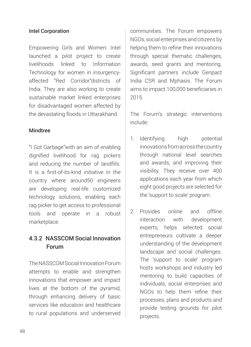#### Intel Corporation

Empowering Girls and Women: Intel launched a pilot project to create livelihoods linked to Information Technology for women in insurgencyaffected "Red Corridor"districts of India. They are also working to create sustainable market linked enterprises for disadvantaged women affected by the devastating floods in Uttarakhand.

#### Mindtree

"I Got Garbage"with an aim of enabling dignified livelihood for rag pickers and reducing the number of landfills. It is a first-of-its-kind initiative in the country where around50 engineers are developing real-life customized technology solutions, enabling each rag picker to get access to professional tools and operate in a robust marketplace.

## 4.3.2 NASSCOM Social Innovation Forum

The NASSCOM Social Innovation Forum attempts to enable and strengthen innovations that empower and impact lives at the bottom of the pyramid, through enhancing delivery of basic services like education and healthcare to rural populations and underserved

communities. The Forum empowers NGOs, social enterprises and citizens by helping them to refine their innovations through special thematic challenges, awards, seed grants and mentoring. Significant partners include Genpact India CSR and Mphasis. The Forum aims to impact 100,000 beneficiaries in 2015.

The Forum's strategic interventions include:

- 1. Identifying high potential innovations from across the country through national level searches and awards, and improving their visibility. They receive over 400 applications each year from which eight good projects are selected for the 'support to scale' program.
- 2. Provides online and offline interaction with development experts; helps selected social entrepreneurs cultivate a deeper understanding of the development landscape and social challenges. The 'support to scale' program hosts workshops and industry led mentoring to build capacities of individuals, social enterprises and NGOs to help them refine their processes, plans and products and provide testing grounds for pilot projects.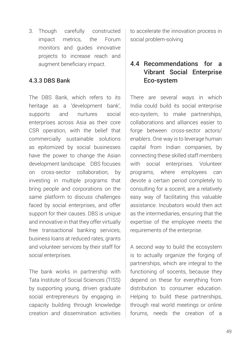3. Though carefully constructed impact metrics, the Forum monitors and guides innovative projects to increase reach and augment beneficiary impact.

#### 4.3.3 DBS Bank

The DBS Bank, which refers to its heritage as a 'development bank', supports and nurtures social enterprises across Asia as their core CSR operation, with the belief that commercially sustainable solutions as epitomized by social businesses have the power to change the Asian development landscape. DBS focuses on cross-sector collaboration, by investing in multiple programs that bring people and corporations on the same platform to discuss challenges faced by social enterprises, and offer support for their causes. DBS is unique and innovative in that they offer virtually free transactional banking services, business loans at reduced rates, grants and volunteer services by their staff for social enterprises.

The bank works in partnership with Tata Institute of Social Sciences (TISS) by supporting young, driven graduate social entrepreneurs by engaging in capacity building through knowledge creation and dissemination activities

to accelerate the innovation process in social problem-solving

## 4.4 Recommendations for a Vibrant Social Enterprise Eco-system

There are several ways in which India could build its social enterprise eco-system, to make partnerships, collaborations and alliances easier to forge between cross-sector actors/ enablers. One way is to leverage human capital from Indian companies, by connecting these skilled staff members with social enterprises. Volunteer programs, where employees can devote a certain period completely to consulting for a socent, are a relatively easy way of facilitating this valuable assistance. Incubators would then act as the intermediaries, ensuring that the expertise of the employee meets the requirements of the enterprise.

A second way to build the ecosystem is to actually organize the forging of partnerships, which are integral to the functioning of socents, because they depend on these for everything from distribution to consumer education. Helping to build these partnerships, through real world meetings or online forums, needs the creation of a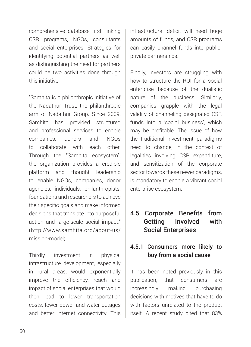comprehensive database first, linking CSR programs, NGOs, consultants and social enterprises. Strategies for identifying potential partners as well as distinguishing the need for partners could be two activities done through this initiative.

"Samhita is a philanthropic initiative of the Nadathur Trust, the philanthropic arm of Nadathur Group. Since 2009, Samhita has provided structured and professional services to enable companies, donors and NGOs to collaborate with each other. Through the "Samhita ecosystem", the organization provides a credible platform and thought leadership to enable NGOs, companies, donor agencies, individuals, philanthropists, foundations and researchers to achieve their specific goals and make informed decisions that translate into purposeful action and large-scale social impact." (http://www.samhita.org/about-us/ mission-model)

Thirdly, investment in physical infrastructure development, especially in rural areas, would exponentially improve the efficiency, reach and impact of social enterprises that would then lead to lower transportation costs, fewer power and water outages and better internet connectivity. This infrastructural deficit will need huge amounts of funds, and CSR programs can easily channel funds into publicprivate partnerships.

Finally, investors are struggling with how to structure the ROI for a social enterprise because of the dualistic nature of the business. Similarly, companies grapple with the legal validity of channeling designated CSR funds into a 'social business', which may be profitable. The issue of how the traditional investment paradigms need to change, in the context of legalities involving CSR expenditure, and sensitization of the corporate sector towards these newer paradigms, is mandatory to enable a vibrant social enterprise ecosystem.

## 4.5 Corporate Benefits from Getting Involved with Social Enterprises

## 4.5.1 Consumers more likely to buy from a social cause

It has been noted previously in this publication, that consumers are increasingly making purchasing decisions with motives that have to do with factors unrelated to the product itself. A recent study cited that 83%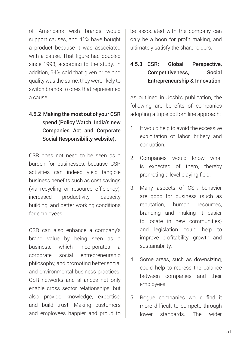of Americans wish brands would support causes, and 41% have bought a product because it was associated with a cause. That figure had doubled since 1993, according to the study. In addition, 94% said that given price and quality was the same, they were likely to switch brands to ones that represented a cause.

## 4.5.2 Making the most out of your CSR spend (Policy Watch: India's new Companies Act and Corporate Social Responsibility website).

CSR does not need to be seen as a burden for businesses, because CSR activities can indeed yield tangible business benefits such as cost savings (via recycling or resource efficiency), increased productivity, capacity building, and better working conditions for employees.

CSR can also enhance a company's brand value by being seen as a business, which incorporates a corporate social entrepreneurship philosophy, and promoting better social and environmental business practices. CSR networks and alliances not only enable cross sector relationships, but also provide knowledge, expertise, and build trust. Making customers and employees happier and proud to

be associated with the company can only be a boon for profit making, and ultimately satisfy the shareholders.

## 4.5.3 CSR: Global Perspective, Competitiveness, Social Entrepreneurship & Innovation

As outlined in Joshi's publication, the following are benefits of companies adopting a triple bottom line approach:

- 1. It would help to avoid the excessive exploitation of labor, bribery and corruption.
- 2. Companies would know what is expected of them, thereby promoting a level playing field.
- 3. Many aspects of CSR behavior are good for business (such as reputation, human resources, branding and making it easier to locate in new communities) and legislation could help to improve profitability, growth and sustainability.
- 4. Some areas, such as downsizing, could help to redress the balance between companies and their employees.
- 5. Rogue companies would find it more difficult to compete through lower standards. The wider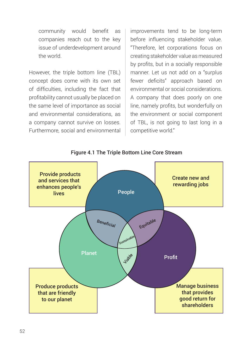community would benefit as companies reach out to the key issue of underdevelopment around the world.

However, the triple bottom line (TBL) concept does come with its own set of difficulties, including the fact that profitability cannot usually be placed on the same level of importance as social and environmental considerations, as a company cannot survive on losses. Furthermore, social and environmental

improvements tend to be long-term before influencing stakeholder value. "Therefore, let corporations focus on creating stakeholder value as measured by profits, but in a socially responsible manner. Let us not add on a "surplus fewer deficits" approach based on environmental or social considerations. A company that does poorly on one line, namely profits, but wonderfully on the environment or social component of TBL, is not going to last long in a competitive world."

Figure 4.1 The Triple Bottom Line Core Stream

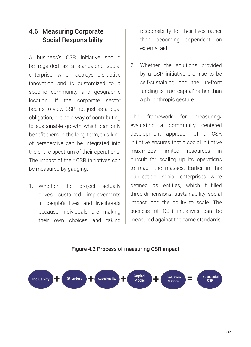## 4.6 Measuring Corporate Social Responsibility

A business's CSR initiative should be regarded as a standalone social enterprise, which deploys disruptive innovation and is customized to a specific community and geographic location. If the corporate sector begins to view CSR not just as a legal obligation, but as a way of contributing to sustainable growth which can only benefit them in the long term, this kind of perspective can be integrated into the entire spectrum of their operations. The impact of their CSR initiatives can be measured by gauging:

1. Whether the project actually drives sustained improvements in people's lives and livelihoods because individuals are making their own choices and taking responsibility for their lives rather than becoming dependent on external aid.

2. Whether the solutions provided by a CSR initiative promise to be self-sustaining and the up-front funding is true 'capital' rather than a philanthropic gesture.

The framework for measuring/ evaluating a community centered development approach of a CSR initiative ensures that a social initiative maximizes limited resources in pursuit for scaling up its operations to reach the masses. Earlier in this publication, social enterprises were defined as entities, which fulfilled three dimensions: sustainability, social impact, and the ability to scale. The success of CSR initiatives can be measured against the same standards.

#### Figure 4.2 Process of measuring CSR impact

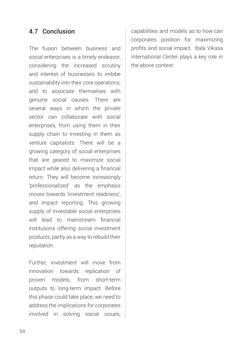## 4.7 Conclusion

The fusion between business and social enterprises is a timely endeavor, considering the increased scrutiny and interest of businesses to imbibe sustainability into their core operations, and to associate themselves with genuine social causes. There are several ways in which the private sector can collaborate with social enterprises, from using them in their supply chain to investing in them as venture capitalists. There will be a growing category of social enterprises that are geared to maximize social impact while also delivering a financial return. They will become increasingly 'professionalized' as the emphasis moves towards 'investment readiness', and impact reporting. This growing supply of investable social enterprises will lead to mainstream financial institutions offering social investment products, partly as a way to rebuild their reputation.

Further, investment will move from innovation towards replication of proven models; from short-term outputs to long-term impact. Before this phase could take place, we need to address the implications for corporates involved in solving social issues,

capabilities and models as to how can corporates position for maximizing profits and social impact. Bala Vikasa International Center plays a key role in the above context.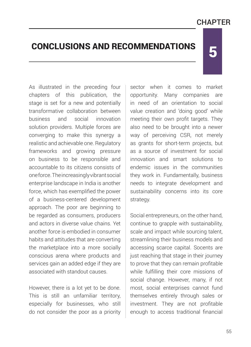## **CHAPTFR**

5

# CONCLUSIONS AND RECOMMENDATIONS

As illustrated in the preceding four chapters of this publication, the stage is set for a new and potentially transformative collaboration between business and social innovation solution providers. Multiple forces are converging to make this synergy a realistic and achievable one. Regulatory frameworks and growing pressure on business to be responsible and accountable to its citizens consists of one force. The increasingly vibrant social enterprise landscape in India is another force, which has exemplified the power of a business-centered development approach. The poor are beginning to be regarded as consumers, producers and actors in diverse value chains. Yet another force is embodied in consumer habits and attitudes that are converting the marketplace into a more socially conscious arena where products and services gain an added edge if they are associated with standout causes.

However, there is a lot yet to be done. This is still an unfamiliar territory, especially for businesses, who still do not consider the poor as a priority

sector when it comes to market opportunity. Many companies are in need of an orientation to social value creation and 'doing good' while meeting their own profit targets. They also need to be brought into a newer way of perceiving CSR, not merely as grants for short-term projects, but as a source of investment for social innovation and smart solutions to endemic issues in the communities they work in. Fundamentally, business needs to integrate development and sustainability concerns into its core strategy.

Social entrepreneurs, on the other hand, continue to grapple with sustainability, scale and impact while sourcing talent, streamlining their business models and accessing scarce capital. Socents are just reaching that stage in their journey to prove that they can remain profitable while fulfilling their core missions of social change. However, many, if not most, social enterprises cannot fund themselves entirely through sales or investment. They are not profitable enough to access traditional financial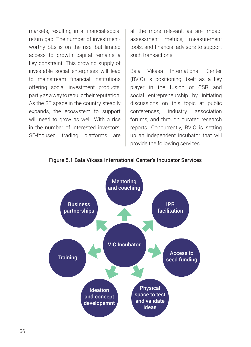markets, resulting in a financial-social return gap. The number of investmentworthy SEs is on the rise, but limited access to growth capital remains a key constraint. This growing supply of investable social enterprises will lead to mainstream financial institutions offering social investment products, partly as a way to rebuild their reputation. As the SE space in the country steadily expands, the ecosystem to support will need to grow as well. With a rise in the number of interested investors, SE-focused trading platforms are

all the more relevant, as are impact assessment metrics, measurement tools, and financial advisors to support such transactions.

Bala Vikasa International Center (BVIC) is positioning itself as a key player in the fusion of CSR and social entrepreneurship by initiating discussions on this topic at public conferences, industry association forums, and through curated research reports. Concurrently, BVIC is setting up an independent incubator that will provide the following services.



Figure 5.1 Bala Vikasa International Center's Incubator Services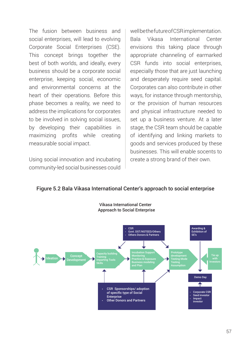The fusion between business and social enterprises, will lead to evolving Corporate Social Enterprises (CSE). This concept brings together the best of both worlds, and ideally, every business should be a corporate social enterprise, keeping social, economic and environmental concerns at the heart of their operations. Before this phase becomes a reality, we need to address the implications for corporates to be involved in solving social issues, by developing their capabilities in maximizing profits while creating measurable social impact.

Using social innovation and incubating community-led social businesses could

well be the future of CSR implementation. Bala Vikasa International Center envisions this taking place through appropriate channeling of earmarked CSR funds into social enterprises, especially those that are just launching and desperately require seed capital. Corporates can also contribute in other ways, for instance through mentorship, or the provision of human resources and physical infrastructure needed to set up a business venture. At a later stage, the CSR team should be capable of identifying and linking markets to goods and services produced by these businesses. This will enable socents to create a strong brand of their own.

#### Figure 5.2 Bala Vikasa International Center's approach to social enterprise



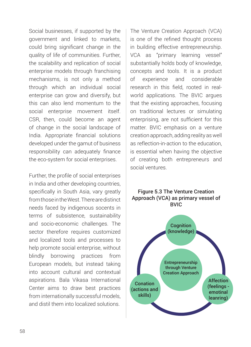Social businesses, if supported by the government and linked to markets, could bring significant change in the quality of life of communities. Further, the scalability and replication of social enterprise models through franchising mechanisms, is not only a method through which an individual social enterprise can grow and diversify, but this can also lend momentum to the social enterprise movement itself. CSR, then, could become an agent of change in the social landscape of India. Appropriate financial solutions developed under the gamut of business responsibility can adequately finance the eco-system for social enterprises.

Further, the profile of social enterprises in India and other developing countries, specifically in South Asia, vary greatly from those in the West. There are distinct needs faced by indigenous socents in terms of subsistence, sustainability and socio-economic challenges. The sector therefore requires customized and localized tools and processes to help promote social enterprise, without blindly borrowing practices from European models, but instead taking into account cultural and contextual aspirations. Bala Vikasa International Center aims to draw best practices from internationally successful models, and distil them into localized solutions.

The Venture Creation Approach (VCA) is one of the refined thought process in building effective entrepreneurship. VCA as "primary learning vessel" substantially holds body of knowledge, concepts and tools. It is a product of experience and considerable research in this field, rooted in realworld applications. The BVIC argues that the existing approaches, focusing on traditional lectures or simulating enterprising, are not sufficient for this matter. BVIC emphasis on a venture creation approach, adding reality as well as reflection-in-action to the education, is essential when having the objective of creating both entrepreneurs and social ventures.

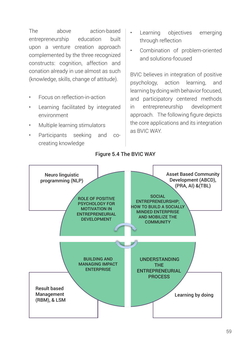The above action-based entrepreneurship education built upon a venture creation approach complemented by the three recognized constructs: cognition, affection and conation already in use almost as such (knowledge, skills, change of attitude).

- Focus on reflection-in-action
- Learning facilitated by integrated environment
- Multiple learning stimulators
- Participants seeking and cocreating knowledge
- Learning objectives emerging through reflection
- Combination of problem-oriented and solutions-focused

BVIC believes in integration of positive psychology, action learning, and learning by doing with behavior focused, and participatory centered methods in entrepreneurship development approach. The following figure depicts the core applications and its integration as BVIC WAY.



#### Figure 5.4 The BVIC WAY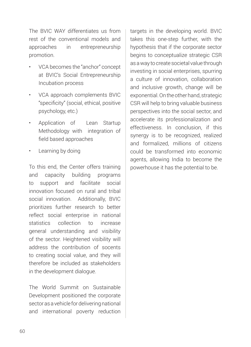The BVIC WAY differentiates us from rest of the conventional models and approaches in entrepreneurship promotion.

- VCA becomes the "anchor" concept at BVIC's Social Entrepreneurship Incubation process
- VCA approach complements BVIC "specificity" (social, ethical, positive psychology, etc.)
- Application of Lean Startup Methodology with integration of field based approaches
- Learning by doing

To this end, the Center offers training and capacity building programs to support and facilitate social innovation focused on rural and tribal social innovation. Additionally, BVIC prioritizes further research to better reflect social enterprise in national statistics collection to increase general understanding and visibility of the sector. Heightened visibility will address the contribution of socents to creating social value, and they will therefore be included as stakeholders in the development dialogue.

The World Summit on Sustainable Development positioned the corporate sector as a vehicle for delivering national and international poverty reduction targets in the developing world. BVIC takes this one-step further, with the hypothesis that if the corporate sector begins to conceptualize strategic CSR as a way to create societal value through investing in social enterprises, spurring a culture of innovation, collaboration and inclusive growth, change will be exponential. On the other hand, strategic CSR will help to bring valuable business perspectives into the social sector, and accelerate its professionalization and effectiveness. In conclusion, if this synergy is to be recognized, realized and formalized, millions of citizens could be transformed into economic agents, allowing India to become the powerhouse it has the potential to be.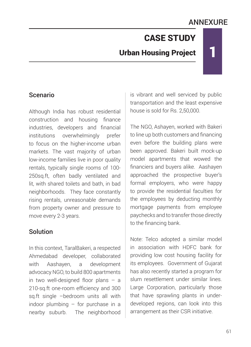# ANNEXURE

1

# CASE STUDY

# Urban Housing Project

#### Scenario

Although India has robust residential construction and housing finance industries, developers and financial institutions overwhelmingly prefer to focus on the higher-income urban markets. The vast majority of urban low-income families live in poor quality rentals, typically single rooms of 100- 250sq.ft, often badly ventilated and lit, with shared toilets and bath, in bad neighborhoods. They face constantly rising rentals, unreasonable demands from property owner and pressure to move every 2-3 years.

#### Solution

In this context, TaralBakeri, a respected Ahmedabad developer, collaborated with Aashayen, a development advocacy NGO, to build 800 apartments in two well-designed floor plans – a 210-sq.ft one-room efficiency and 300 sq.ft single –bedroom units all with indoor plumbing – for purchase in a nearby suburb. The neighborhood is vibrant and well serviced by public transportation and the least expensive house is sold for Rs. 2,50,000.

The NGO, Ashayen, worked with Bakeri to line up both customers and financing even before the building plans were been approved. Bakeri built mock-up model apartments that wowed the financiers and buyers alike. Aashayen approached the prospective buyer's formal employers, who were happy to provide the residential faculties for the employees by deducting monthly mortgage payments from employee paychecks and to transfer those directly to the financing bank.

Note: Telco adopted a similar model in association with HDFC bank for providing low cost housing facility for its employees. Government of Gujarat has also recently started a program for slum resettlement under similar lines. Large Corporation, particularly those that have sprawling plants in underdeveloped regions, can look into this arrangement as their CSR initiative.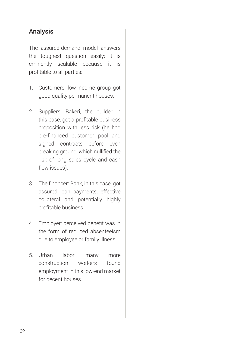## Analysis

The assured-demand model answers the toughest question easily: it is eminently scalable because it is profitable to all parties:

- 1. Customers: low-income group got good quality permanent houses.
- 2. Suppliers: Bakeri, the builder in this case, got a profitable business proposition with less risk (he had pre-financed customer pool and signed contracts before even breaking ground, which nullified the risk of long sales cycle and cash flow issues).
- 3. The financer: Bank, in this case, got assured loan payments, effective collateral and potentially highly profitable business.
- 4. Employer: perceived benefit was in the form of reduced absenteeism due to employee or family illness.
- 5. Urban labor: many more construction workers found employment in this low-end market for decent houses.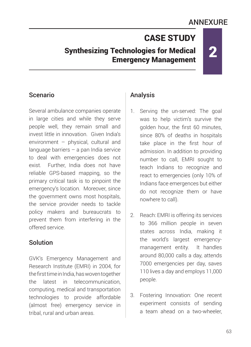# ANNEXURE

2

# CASE STUDY

## Synthesizing Technologies for Medical Emergency Management

### Scenario

Several ambulance companies operate in large cities and while they serve people well, they remain small and invest little in innovation. Given India's environment – physical, cultural and language barriers – a pan India service to deal with emergencies does not exist. Further, India does not have reliable GPS-based mapping, so the primary critical task is to pinpoint the emergency's location. Moreover, since the government owns most hospitals, the service provider needs to tackle policy makers and bureaucrats to prevent them from interfering in the offered service.

#### **Solution**

GVK's Emergency Management and Research Institute (EMRI) in 2004, for the first time in India, has woven together the latest in telecommunication, computing, medical and transportation technologies to provide affordable (almost free) emergency service in tribal, rural and urban areas.

#### Analysis

- 1. Serving the un-served: The goal was to help victim's survive the golden hour, the first 60 minutes, since 80% of deaths in hospitals take place in the first hour of admission. In addition to providing number to call, EMRI sought to teach Indians to recognize and react to emergencies (only 10% of Indians face emergences but either do not recognize them or have nowhere to call).
- 2. Reach: EMRI is offering its services to 366 million people in seven states across India, making it the world's largest emergencymanagement entity. It handles around 80,000 calls a day, attends 7000 emergencies per day, saves 110 lives a day and employs 11,000 people.
- 3. Fostering Innovation: One recent experiment consists of sending a team ahead on a two-wheeler,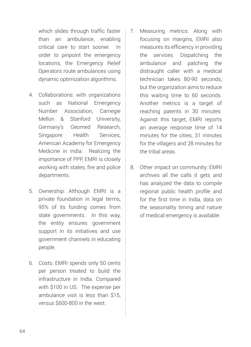which slides through traffic faster than an ambulance, enabling critical care to start sooner. In order to pinpoint the emergency locations, the Emergency Relief Operators route ambulances using dynamic optimization algorithms.

- 4. Collaborations: with organizations such as National Emergency Number Association, Carnegie Mellon & Stanford University, Germany's Geomed Research, Singapore Health Services, American Academy for Emergency Medicine in India. Realizing the importance of PPP, EMRI is closely working with states, fire and police departments.
- 5. Ownership: Although EMRI is a private foundation in legal terms, 95% of its funding comes from state governments. In this way, the entity ensures government support in its initiatives and use government channels in educating people.
- 6. Costs: EMRI spends only 50 cents per person treated to build the infrastructure in India. Compared with \$100 in US. The expense per ambulance visit is less than \$15, versus \$600-800 in the west.
- 7. Measuring metrics: Along with focusing on margins, EMRI also measures its efficiency in providing the services. Dispatching the ambulance and patching the distraught caller with a medical technician takes 80-90 seconds, but the organization aims to reduce this waiting time to 60 seconds. Another metrics is a target of reaching patents in 30 minutes. Against this target, EMRI reports an average response time of 14 minutes for the cities, 31 minutes for the villagers and 28 minutes for the tribal areas.
- 8. Other impact on community: EMRI archives all the calls it gets and has analyzed the data to compile regional public health profile and for the first time in India, data on the seasonality timing and nature of medical emergency is available.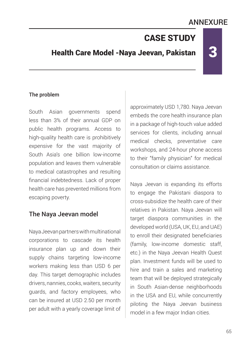# ANNEXURE

3

# CASE STUDY

# Health Care Model -Naya Jeevan, Pakistan

#### The problem

South Asian governments spend less than 3% of their annual GDP on public health programs. Access to high-quality health care is prohibitively expensive for the vast majority of South Asia's one billion low-income population and leaves them vulnerable to medical catastrophes and resulting financial indebtedness. Lack of proper health care has prevented millions from escaping poverty.

#### The Naya Jeevan model

Naya Jeevan partners with multinational corporations to cascade its health insurance plan up and down their supply chains targeting low-income workers making less than USD 6 per day. This target demographic includes drivers, nannies, cooks, waiters, security guards, and factory employees, who can be insured at USD 2.50 per month per adult with a yearly coverage limit of approximately USD 1,780. Naya Jeevan embeds the core health insurance plan in a package of high-touch value added services for clients, including annual medical checks, preventative care workshops, and 24-hour phone access to their "family physician" for medical consultation or claims assistance.

Naya Jeevan is expanding its efforts to engage the Pakistani diaspora to cross-subsidize the health care of their relatives in Pakistan. Naya Jeevan will target diaspora communities in the developed world (USA, UK, EU, and UAE) to enroll their designated beneficiaries (family, low-income domestic staff, etc.) in the Naya Jeevan Health Quest plan. Investment funds will be used to hire and train a sales and marketing team that will be deployed strategically in South Asian-dense neighborhoods in the USA and EU, while concurrently piloting the Naya Jeevan business model in a few major Indian cities.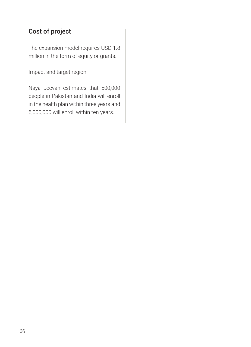## Cost of project

The expansion model requires USD 1.8 million in the form of equity or grants.

Impact and target region

Naya Jeevan estimates that 500,000 people in Pakistan and India will enroll in the health plan within three years and 5,000,000 will enroll within ten years.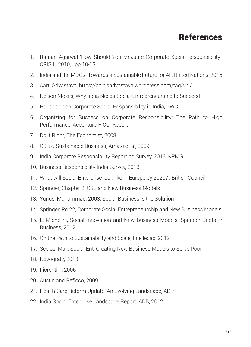- 1. Raman Agarwal 'How Should You Measure Corporate Social Responsibility', CRISIL, 2010, pp 10-13
- 2. India and the MDGs- Towards a Sustainable Future for All, United Nations, 2015
- 3. Aarti Srivastava, https://aartishrivastava.wordpress.com/tag/vnl/
- 4. Nelson Moses, Why India Needs Social Entrepreneurship to Succeed
- 5. Handbook on Corporate Social Responsibility in India, PWC
- 6. Organizing for Success on Corporate Responsibility: The Path to High Performance, Accenture-FICCI Report
- 7. Do it Right, The Economist, 2008
- 8. CSR & Sustainable Business, Amato et al, 2009
- 9. India Corporate Responsibility Reporting Survey, 2013, KPMG
- 10. Business Responsibility India Survey, 2013
- 11. What will Social Enterprise look like in Europe by 2020? , British Council
- 12. Springer, Chapter 2, CSE and New Business Models
- 13. Yunus, Muhammad, 2008, Social Business is the Solution
- 14. Springer, Pg 22, Corporate Social Entrepreneurship and New Business Models
- 15. L. Michelini, Social Innovation and New Business Models, Springer Briefs in Business, 2012
- 16. On the Path to Sustainability and Scale, Intellecap, 2012
- 17. Seelos, Mair, Social Ent, Creating New Business Models to Serve Poor
- 18. Novogratz, 2013
- 19. Fiorentini, 2006
- 20. Austin and Reficco, 2009
- 21. Health Care Reform Update: An Evolving Landscape, ADP
- 22. India Social Enterprise Landscape Report, ADB, 2012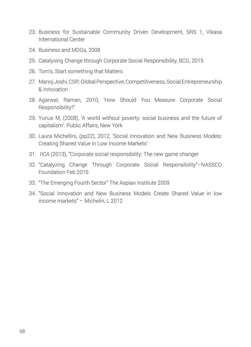- 23. Business for Sustainable Community Driven Development, SRS 1, Vikasa International Center
- 24. Business and MDGs, 2008
- 25. Catalysing Change through Corporate Social Responsibility, BCG, 2015
- 26. Tom's, Start something that Matters
- 27. Manoj Joshi, CSR: Global Perspective, Competitiveness, Social Entrepreneurship & Innovation
- 28. Agarwal, Raman, 2010, 'How Should You Measure Corporate Social Responsibility?'
- 29. Yunus M, (2008), 'A world without poverty: social business and the future of capitalism'. Public Affairs, New York
- 30. Laura Michellini, (pp22), 2012, 'Social Innovation and New Business Models: Creating Shared Value in Low Income Markets'
- 31. IICA (2013), "Corporate social responsibility: The new game changer
- 32. "Catalyzing Change Through Corporate Social Responsibility"–NASSCO Foundation Feb.2015
- 33. "The Emerging Fourth Sector" The Aspian Institute 2009
- 34. "Social Innovation and New Business Models Create Shared Value in low income markets" – Michelin, L 2012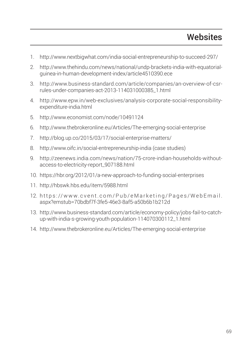- 1. http://www.nextbigwhat.com/india-social-entrepreneurship-to-succeed-297/
- 2. http://www.thehindu.com/news/national/undp-brackets-india-with-equatorialguinea-in-human-development-index/article4510390.ece
- 3. http://www.business-standard.com/article/companies/an-overview-of-csrrules-under-companies-act-2013-114031000385\_1.html
- 4. http://www.epw.in/web-exclusives/analysis-corporate-social-responsibilityexpenditure-india.html
- 5. http://www.economist.com/node/10491124
- 6. http://www.thebrokeronline.eu/Articles/The-emerging-social-enterprise
- 7. http://blog.up.co/2015/03/17/social-enterprise-matters/
- 8. http://www.oifc.in/social-entrepreneurship-india (case studies)
- 9. http://zeenews.india.com/news/nation/75-crore-indian-households-withoutaccess-to-electricity-report\_907188.html
- 10. https://hbr.org/2012/01/a-new-approach-to-funding-social-enterprises
- 11. http://hbswk.hbs.edu/item/5988.html
- 12. https://www.cvent.com/Pub/eMarketing/Pages/WebEmail. aspx?emstub=70bdbf7f-3fe5-46e3-8af5-a50b6b1b212d
- 13. http://www.business-standard.com/article/economy-policy/jobs-fail-to-catchup-with-india-s-growing-youth-population-114070300112\_1.html
- 14. http://www.thebrokeronline.eu/Articles/The-emerging-social-enterprise